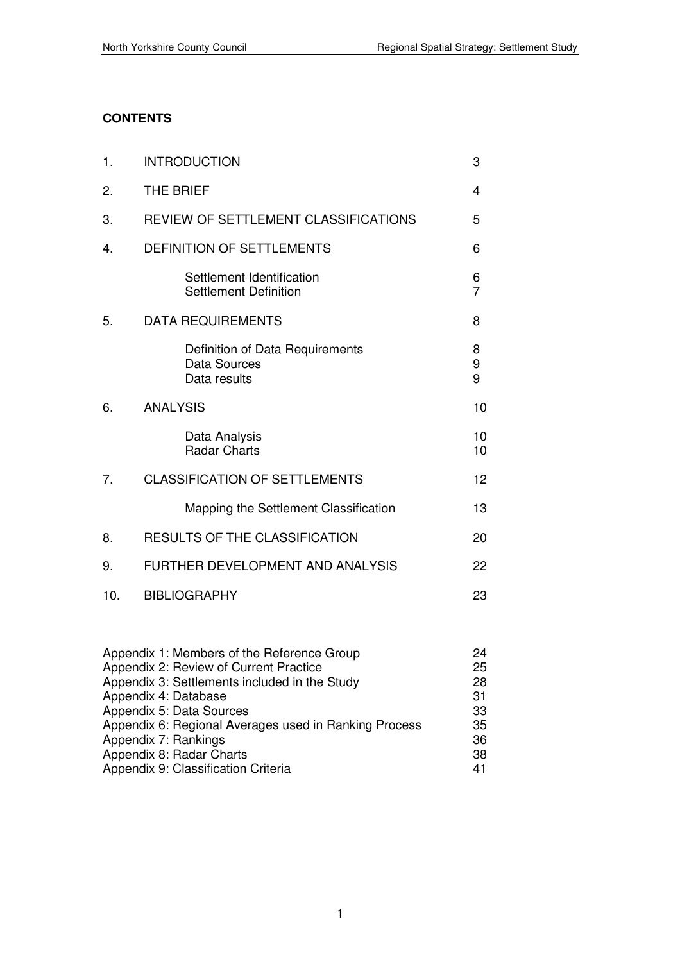## **CONTENTS**

| 1.  | <b>INTRODUCTION</b>                                                                                                                                            | 3                     |
|-----|----------------------------------------------------------------------------------------------------------------------------------------------------------------|-----------------------|
| 2.  | <b>THE BRIEF</b>                                                                                                                                               | 4                     |
| 3.  | REVIEW OF SETTLEMENT CLASSIFICATIONS                                                                                                                           | 5                     |
| 4.  | <b>DEFINITION OF SETTLEMENTS</b>                                                                                                                               | 6                     |
|     | Settlement Identification<br><b>Settlement Definition</b>                                                                                                      | 6<br>$\overline{7}$   |
| 5.  | <b>DATA REQUIREMENTS</b>                                                                                                                                       | 8                     |
|     | Definition of Data Requirements<br>Data Sources<br>Data results                                                                                                | 8<br>9<br>9           |
| 6.  | <b>ANALYSIS</b>                                                                                                                                                | 10                    |
|     | Data Analysis<br><b>Radar Charts</b>                                                                                                                           | 10<br>10              |
| 7.  | <b>CLASSIFICATION OF SETTLEMENTS</b>                                                                                                                           | 12                    |
|     | Mapping the Settlement Classification                                                                                                                          | 13                    |
| 8.  | <b>RESULTS OF THE CLASSIFICATION</b>                                                                                                                           | 20                    |
| 9.  | FURTHER DEVELOPMENT AND ANALYSIS                                                                                                                               | 22                    |
| 10. | <b>BIBLIOGRAPHY</b>                                                                                                                                            | 23                    |
|     | Appendix 1: Members of the Reference Group<br>Appendix 2: Review of Current Practice<br>Appendix 3: Settlements included in the Study<br>Annopoliy 4. Dotabooo | 24<br>25<br>28<br>O 1 |

| Appendix 4: Database                                  | -31 |
|-------------------------------------------------------|-----|
| Appendix 5: Data Sources                              | 33  |
| Appendix 6: Regional Averages used in Ranking Process | 35  |
| Appendix 7: Rankings                                  | 36  |
| Appendix 8: Radar Charts                              | 38. |
| Appendix 9: Classification Criteria                   | 41  |
|                                                       |     |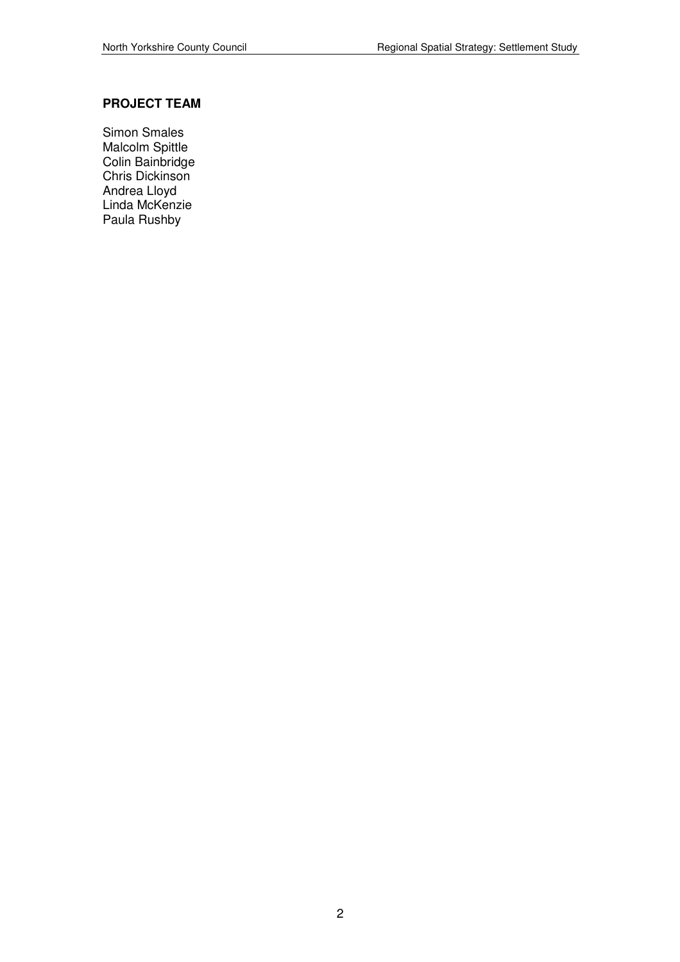### **PROJECT TEAM**

Simon Smales Malcolm Spittle Colin Bainbridge Chris Dickinson Andrea Lloyd Linda McKenzie Paula Rushby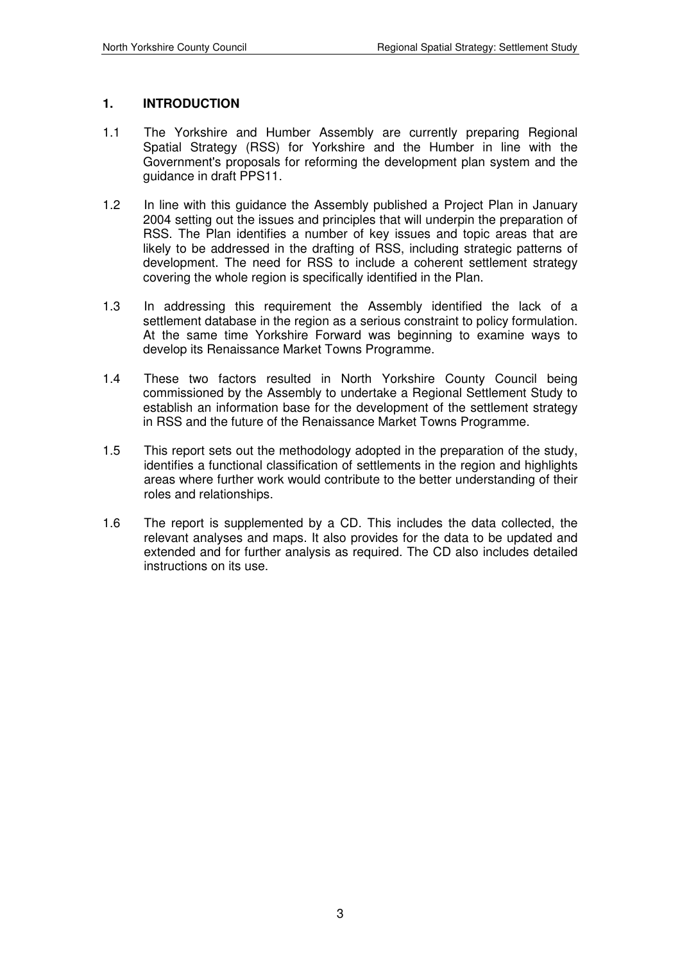#### **1. INTRODUCTION**

- 1.1 The Yorkshire and Humber Assembly are currently preparing Regional Spatial Strategy (RSS) for Yorkshire and the Humber in line with the Government's proposals for reforming the development plan system and the guidance in draft PPS11.
- 1.2 In line with this guidance the Assembly published a Project Plan in January 2004 setting out the issues and principles that will underpin the preparation of RSS. The Plan identifies a number of key issues and topic areas that are likely to be addressed in the drafting of RSS, including strategic patterns of development. The need for RSS to include a coherent settlement strategy covering the whole region is specifically identified in the Plan.
- 1.3 In addressing this requirement the Assembly identified the lack of a settlement database in the region as a serious constraint to policy formulation. At the same time Yorkshire Forward was beginning to examine ways to develop its Renaissance Market Towns Programme.
- 1.4 These two factors resulted in North Yorkshire County Council being commissioned by the Assembly to undertake a Regional Settlement Study to establish an information base for the development of the settlement strategy in RSS and the future of the Renaissance Market Towns Programme.
- 1.5 This report sets out the methodology adopted in the preparation of the study, identifies a functional classification of settlements in the region and highlights areas where further work would contribute to the better understanding of their roles and relationships.
- 1.6 The report is supplemented by a CD. This includes the data collected, the relevant analyses and maps. It also provides for the data to be updated and extended and for further analysis as required. The CD also includes detailed instructions on its use.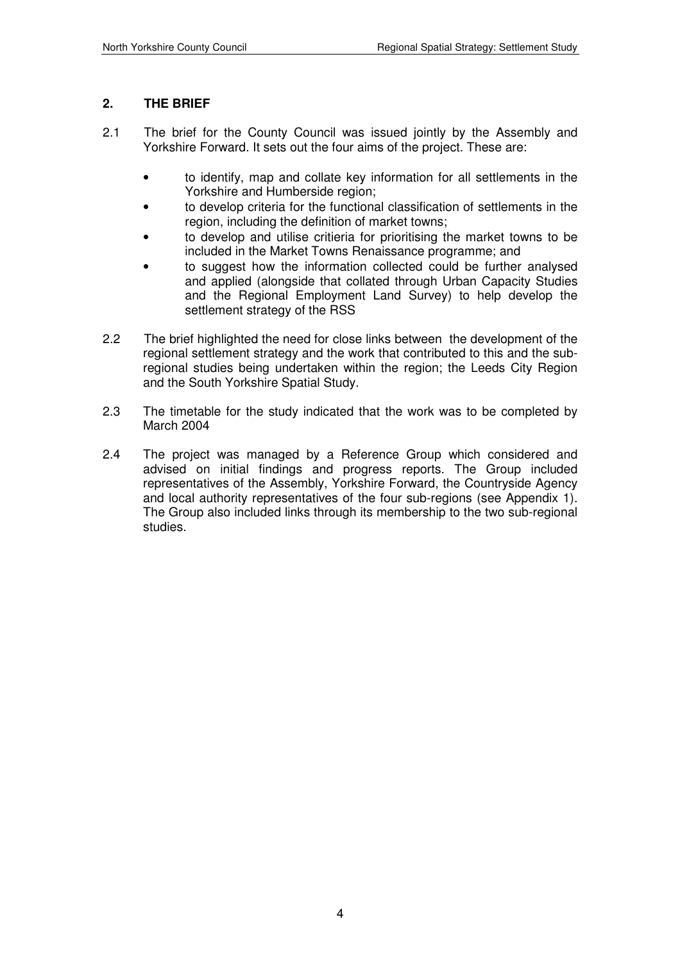### **2. THE BRIEF**

- 2.1 The brief for the County Council was issued jointly by the Assembly and Yorkshire Forward. It sets out the four aims of the project. These are:
	- to identify, map and collate key information for all settlements in the Yorkshire and Humberside region;
	- to develop criteria for the functional classification of settlements in the region, including the definition of market towns;
	- to develop and utilise critieria for prioritising the market towns to be included in the Market Towns Renaissance programme; and
	- to suggest how the information collected could be further analysed and applied (alongside that collated through Urban Capacity Studies and the Regional Employment Land Survey) to help develop the settlement strategy of the RSS
- 2.2 The brief highlighted the need for close links between the development of the regional settlement strategy and the work that contributed to this and the subregional studies being undertaken within the region; the Leeds City Region and the South Yorkshire Spatial Study.
- 2.3 The timetable for the study indicated that the work was to be completed by March 2004
- 2.4 The project was managed by a Reference Group which considered and advised on initial findings and progress reports. The Group included representatives of the Assembly, Yorkshire Forward, the Countryside Agency and local authority representatives of the four sub-regions (see Appendix 1). The Group also included links through its membership to the two sub-regional studies.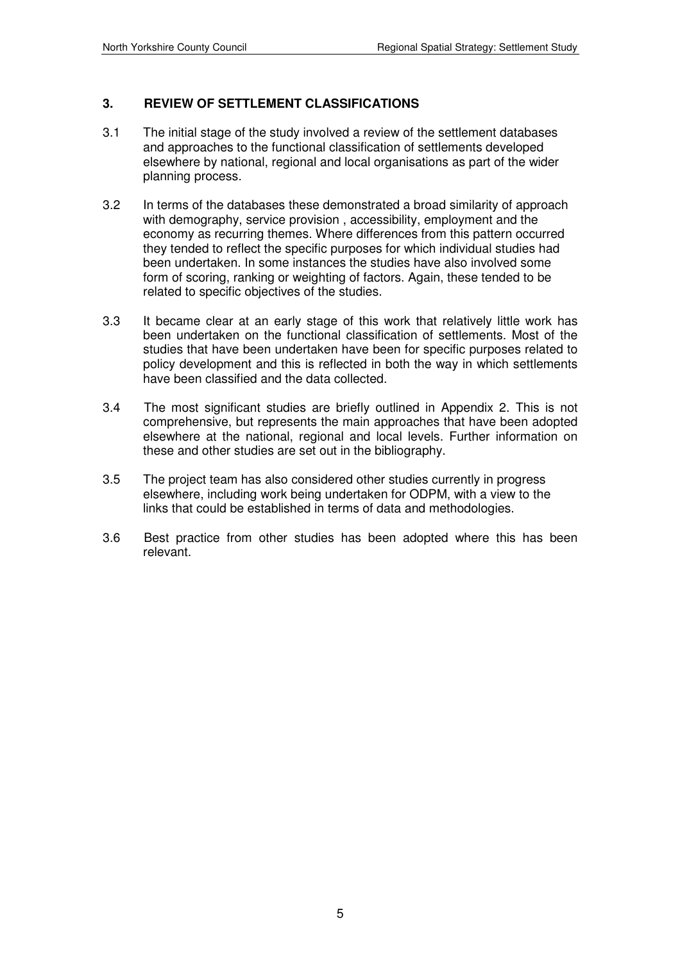### **3. REVIEW OF SETTLEMENT CLASSIFICATIONS**

- 3.1 The initial stage of the study involved a review of the settlement databases and approaches to the functional classification of settlements developed elsewhere by national, regional and local organisations as part of the wider planning process.
- 3.2 In terms of the databases these demonstrated a broad similarity of approach with demography, service provision , accessibility, employment and the economy as recurring themes. Where differences from this pattern occurred they tended to reflect the specific purposes for which individual studies had been undertaken. In some instances the studies have also involved some form of scoring, ranking or weighting of factors. Again, these tended to be related to specific objectives of the studies.
- 3.3 It became clear at an early stage of this work that relatively little work has been undertaken on the functional classification of settlements. Most of the studies that have been undertaken have been for specific purposes related to policy development and this is reflected in both the way in which settlements have been classified and the data collected.
- 3.4 The most significant studies are briefly outlined in Appendix 2. This is not comprehensive, but represents the main approaches that have been adopted elsewhere at the national, regional and local levels. Further information on these and other studies are set out in the bibliography.
- 3.5 The project team has also considered other studies currently in progress elsewhere, including work being undertaken for ODPM, with a view to the links that could be established in terms of data and methodologies.
- 3.6 Best practice from other studies has been adopted where this has been relevant.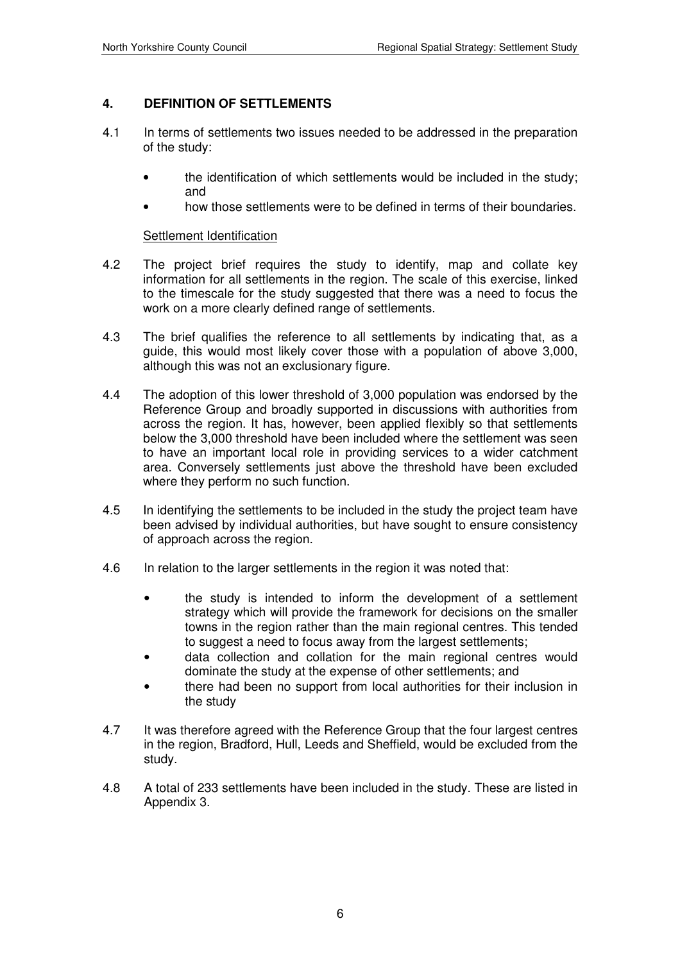### **4. DEFINITION OF SETTLEMENTS**

- 4.1 In terms of settlements two issues needed to be addressed in the preparation of the study:
	- the identification of which settlements would be included in the study; and
	- how those settlements were to be defined in terms of their boundaries.

#### **Settlement Identification**

- 4.2 The project brief requires the study to identify, map and collate key information for all settlements in the region. The scale of this exercise, linked to the timescale for the study suggested that there was a need to focus the work on a more clearly defined range of settlements.
- 4.3 The brief qualifies the reference to all settlements by indicating that, as a guide, this would most likely cover those with a population of above 3,000, although this was not an exclusionary figure.
- 4.4 The adoption of this lower threshold of 3,000 population was endorsed by the Reference Group and broadly supported in discussions with authorities from across the region. It has, however, been applied flexibly so that settlements below the 3,000 threshold have been included where the settlement was seen to have an important local role in providing services to a wider catchment area. Conversely settlements just above the threshold have been excluded where they perform no such function.
- 4.5 In identifying the settlements to be included in the study the project team have been advised by individual authorities, but have sought to ensure consistency of approach across the region.
- 4.6 In relation to the larger settlements in the region it was noted that:
	- the study is intended to inform the development of a settlement strategy which will provide the framework for decisions on the smaller towns in the region rather than the main regional centres. This tended to suggest a need to focus away from the largest settlements;
	- data collection and collation for the main regional centres would dominate the study at the expense of other settlements; and
	- there had been no support from local authorities for their inclusion in the study
- 4.7 It was therefore agreed with the Reference Group that the four largest centres in the region, Bradford, Hull, Leeds and Sheffield, would be excluded from the study.
- 4.8 A total of 233 settlements have been included in the study. These are listed in Appendix 3.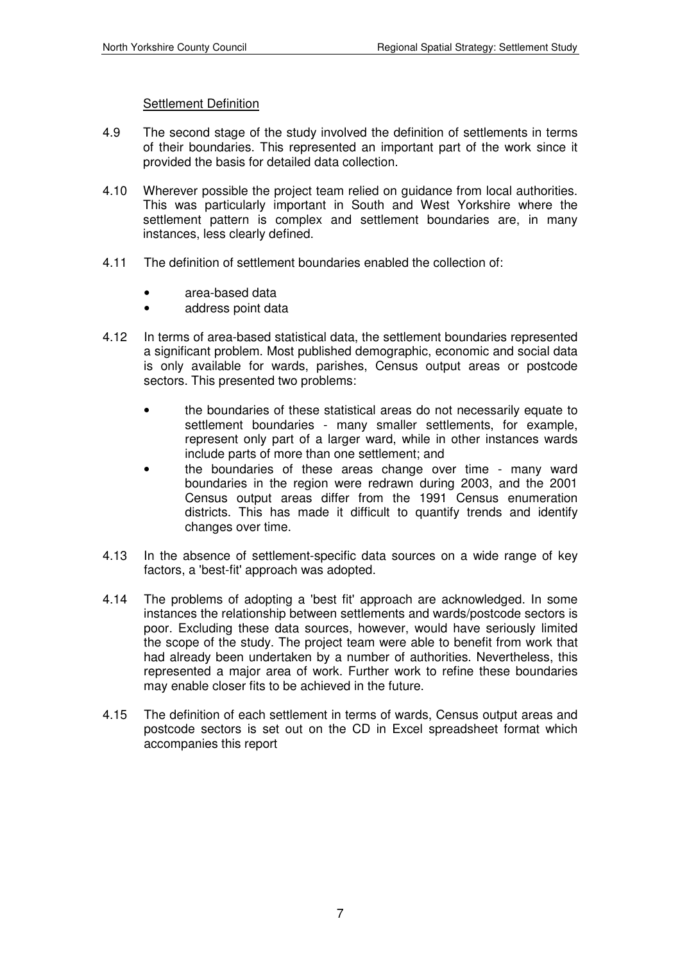#### Settlement Definition

- 4.9 The second stage of the study involved the definition of settlements in terms of their boundaries. This represented an important part of the work since it provided the basis for detailed data collection.
- 4.10 Wherever possible the project team relied on guidance from local authorities. This was particularly important in South and West Yorkshire where the settlement pattern is complex and settlement boundaries are, in many instances, less clearly defined.
- 4.11 The definition of settlement boundaries enabled the collection of:
	- area-based data
	- address point data
- 4.12 In terms of area-based statistical data, the settlement boundaries represented a significant problem. Most published demographic, economic and social data is only available for wards, parishes, Census output areas or postcode sectors. This presented two problems:
	- the boundaries of these statistical areas do not necessarily equate to settlement boundaries - many smaller settlements, for example, represent only part of a larger ward, while in other instances wards include parts of more than one settlement; and
	- the boundaries of these areas change over time many ward boundaries in the region were redrawn during 2003, and the 2001 Census output areas differ from the 1991 Census enumeration districts. This has made it difficult to quantify trends and identify changes over time.
- 4.13 In the absence of settlement-specific data sources on a wide range of key factors, a 'best-fit' approach was adopted.
- 4.14 The problems of adopting a 'best fit' approach are acknowledged. In some instances the relationship between settlements and wards/postcode sectors is poor. Excluding these data sources, however, would have seriously limited the scope of the study. The project team were able to benefit from work that had already been undertaken by a number of authorities. Nevertheless, this represented a major area of work. Further work to refine these boundaries may enable closer fits to be achieved in the future.
- 4.15 The definition of each settlement in terms of wards, Census output areas and postcode sectors is set out on the CD in Excel spreadsheet format which accompanies this report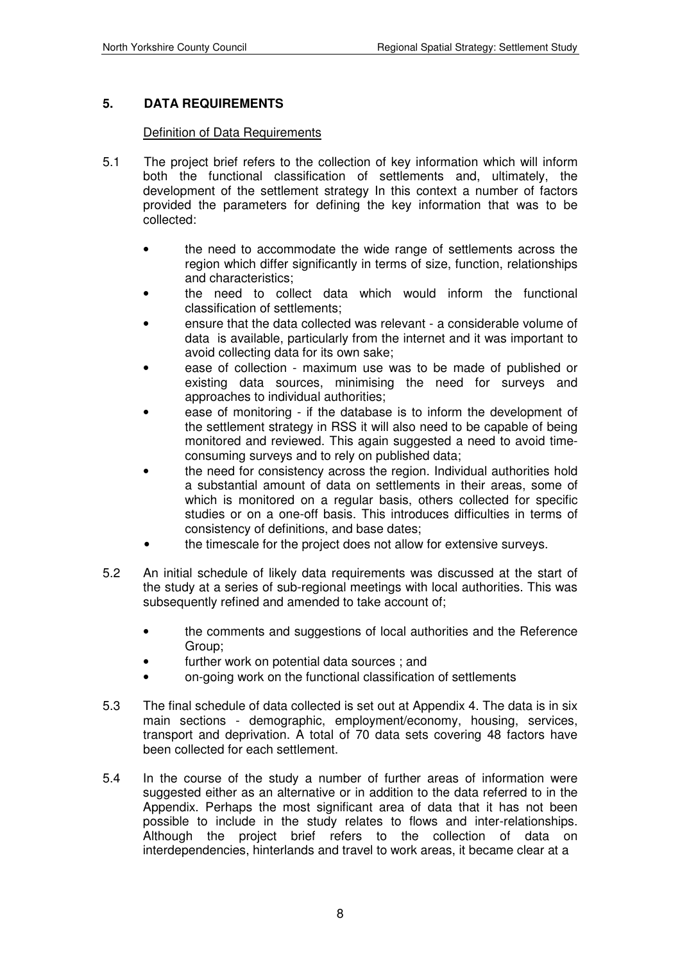### **5. DATA REQUIREMENTS**

#### Definition of Data Requirements

- 5.1 The project brief refers to the collection of key information which will inform both the functional classification of settlements and, ultimately, the development of the settlement strategy In this context a number of factors provided the parameters for defining the key information that was to be collected:
	- the need to accommodate the wide range of settlements across the region which differ significantly in terms of size, function, relationships and characteristics;
	- the need to collect data which would inform the functional classification of settlements;
	- ensure that the data collected was relevant a considerable volume of data is available, particularly from the internet and it was important to avoid collecting data for its own sake;
	- ease of collection maximum use was to be made of published or existing data sources, minimising the need for surveys and approaches to individual authorities;
	- ease of monitoring if the database is to inform the development of the settlement strategy in RSS it will also need to be capable of being monitored and reviewed. This again suggested a need to avoid timeconsuming surveys and to rely on published data;
	- the need for consistency across the region. Individual authorities hold a substantial amount of data on settlements in their areas, some of which is monitored on a regular basis, others collected for specific studies or on a one-off basis. This introduces difficulties in terms of consistency of definitions, and base dates;
	- the timescale for the project does not allow for extensive surveys.
- 5.2 An initial schedule of likely data requirements was discussed at the start of the study at a series of sub-regional meetings with local authorities. This was subsequently refined and amended to take account of;
	- the comments and suggestions of local authorities and the Reference Group;
	- further work on potential data sources; and
	- on-going work on the functional classification of settlements
- 5.3 The final schedule of data collected is set out at Appendix 4. The data is in six main sections - demographic, employment/economy, housing, services, transport and deprivation. A total of 70 data sets covering 48 factors have been collected for each settlement.
- 5.4 In the course of the study a number of further areas of information were suggested either as an alternative or in addition to the data referred to in the Appendix. Perhaps the most significant area of data that it has not been possible to include in the study relates to flows and inter-relationships. Although the project brief refers to the collection of data on interdependencies, hinterlands and travel to work areas, it became clear at a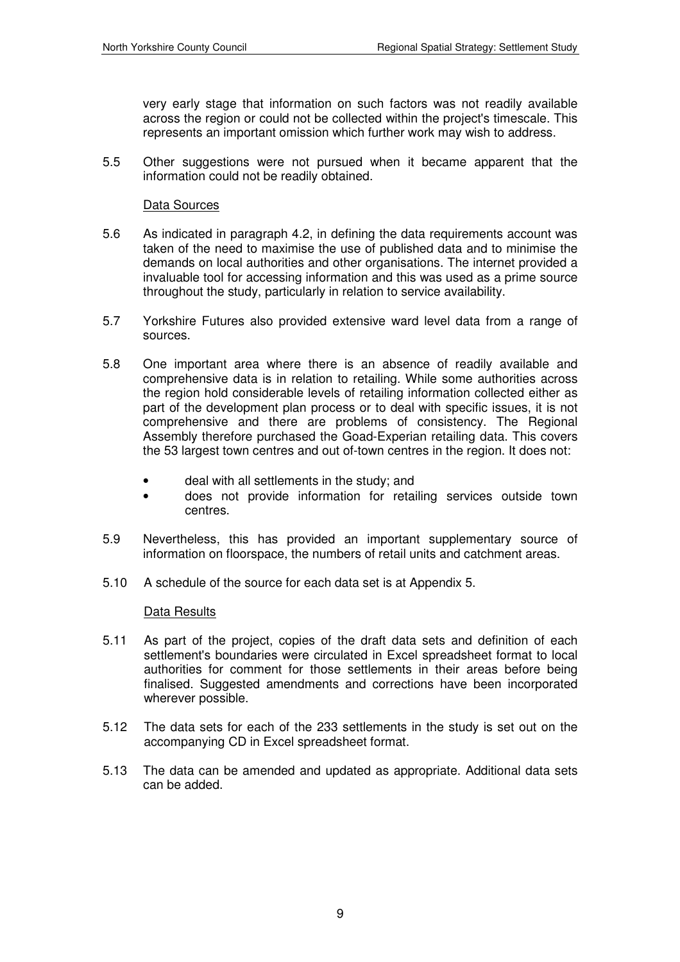very early stage that information on such factors was not readily available across the region or could not be collected within the project's timescale. This represents an important omission which further work may wish to address.

5.5 Other suggestions were not pursued when it became apparent that the information could not be readily obtained.

#### Data Sources

- 5.6 As indicated in paragraph 4.2, in defining the data requirements account was taken of the need to maximise the use of published data and to minimise the demands on local authorities and other organisations. The internet provided a invaluable tool for accessing information and this was used as a prime source throughout the study, particularly in relation to service availability.
- 5.7 Yorkshire Futures also provided extensive ward level data from a range of sources.
- 5.8 One important area where there is an absence of readily available and comprehensive data is in relation to retailing. While some authorities across the region hold considerable levels of retailing information collected either as part of the development plan process or to deal with specific issues, it is not comprehensive and there are problems of consistency. The Regional Assembly therefore purchased the Goad-Experian retailing data. This covers the 53 largest town centres and out of-town centres in the region. It does not:
	- deal with all settlements in the study; and
	- does not provide information for retailing services outside town centres.
- 5.9 Nevertheless, this has provided an important supplementary source of information on floorspace, the numbers of retail units and catchment areas.
- 5.10 A schedule of the source for each data set is at Appendix 5.

#### Data Results

- 5.11 As part of the project, copies of the draft data sets and definition of each settlement's boundaries were circulated in Excel spreadsheet format to local authorities for comment for those settlements in their areas before being finalised. Suggested amendments and corrections have been incorporated wherever possible.
- 5.12 The data sets for each of the 233 settlements in the study is set out on the accompanying CD in Excel spreadsheet format.
- 5.13 The data can be amended and updated as appropriate. Additional data sets can be added.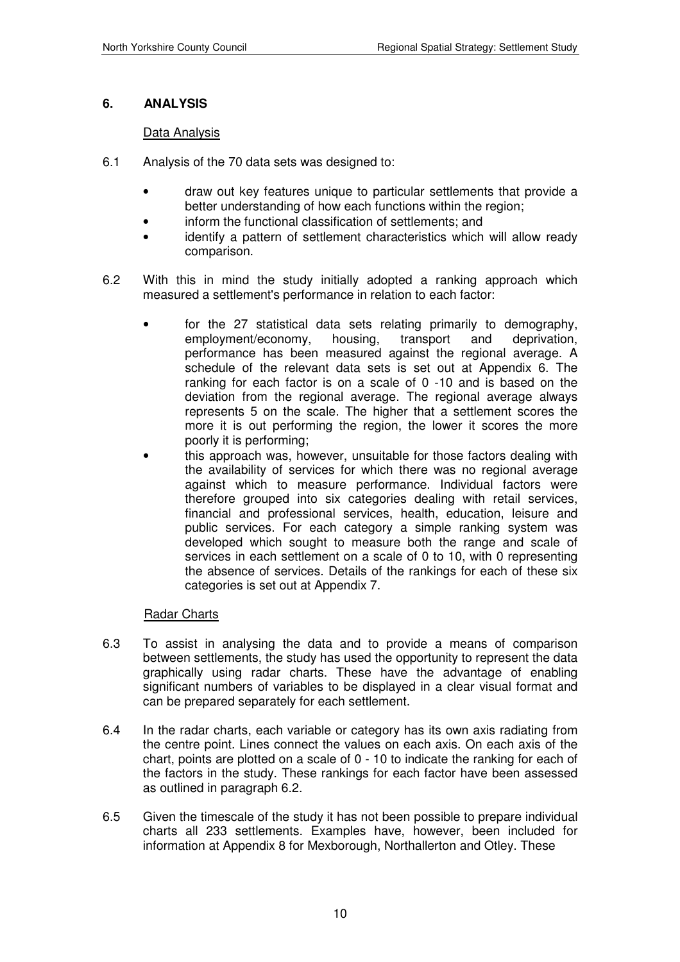### **6. ANALYSIS**

#### Data Analysis

- 6.1 Analysis of the 70 data sets was designed to:
	- draw out key features unique to particular settlements that provide a better understanding of how each functions within the region;
	- inform the functional classification of settlements; and
	- identify a pattern of settlement characteristics which will allow ready comparison.
- 6.2 With this in mind the study initially adopted a ranking approach which measured a settlement's performance in relation to each factor:
	- for the 27 statistical data sets relating primarily to demography, employment/economy, housing, transport and deprivation, performance has been measured against the regional average. A schedule of the relevant data sets is set out at Appendix 6. The ranking for each factor is on a scale of 0 -10 and is based on the deviation from the regional average. The regional average always represents 5 on the scale. The higher that a settlement scores the more it is out performing the region, the lower it scores the more poorly it is performing;
	- this approach was, however, unsuitable for those factors dealing with the availability of services for which there was no regional average against which to measure performance. Individual factors were therefore grouped into six categories dealing with retail services, financial and professional services, health, education, leisure and public services. For each category a simple ranking system was developed which sought to measure both the range and scale of services in each settlement on a scale of 0 to 10, with 0 representing the absence of services. Details of the rankings for each of these six categories is set out at Appendix 7.

#### Radar Charts

- 6.3 To assist in analysing the data and to provide a means of comparison between settlements, the study has used the opportunity to represent the data graphically using radar charts. These have the advantage of enabling significant numbers of variables to be displayed in a clear visual format and can be prepared separately for each settlement.
- 6.4 In the radar charts, each variable or category has its own axis radiating from the centre point. Lines connect the values on each axis. On each axis of the chart, points are plotted on a scale of 0 - 10 to indicate the ranking for each of the factors in the study. These rankings for each factor have been assessed as outlined in paragraph 6.2.
- 6.5 Given the timescale of the study it has not been possible to prepare individual charts all 233 settlements. Examples have, however, been included for information at Appendix 8 for Mexborough, Northallerton and Otley. These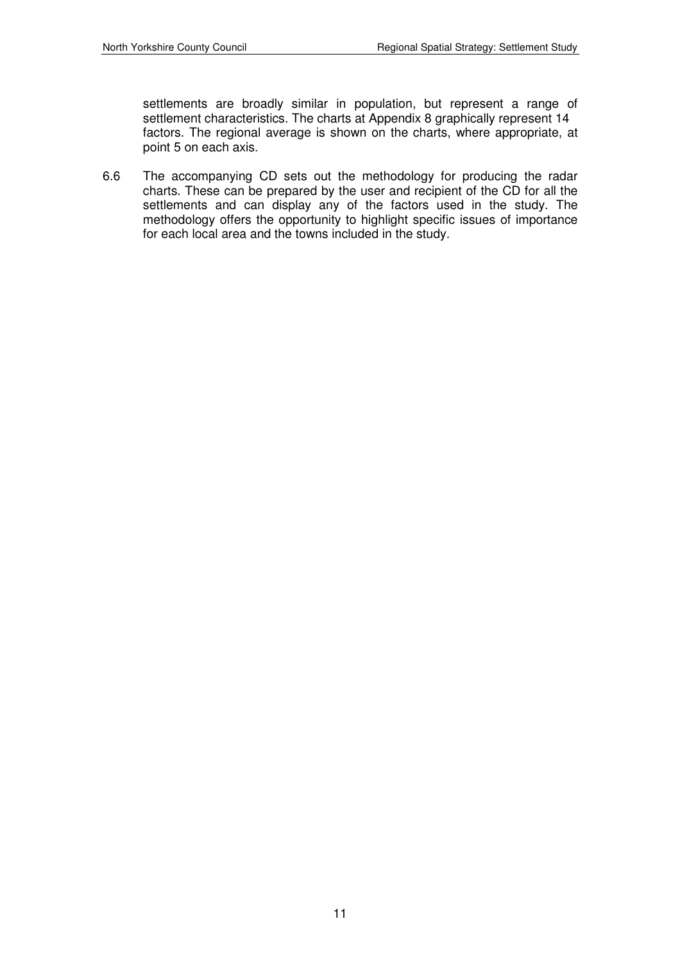settlements are broadly similar in population, but represent a range of settlement characteristics. The charts at Appendix 8 graphically represent 14 factors. The regional average is shown on the charts, where appropriate, at point 5 on each axis.

6.6 The accompanying CD sets out the methodology for producing the radar charts. These can be prepared by the user and recipient of the CD for all the settlements and can display any of the factors used in the study. The methodology offers the opportunity to highlight specific issues of importance for each local area and the towns included in the study.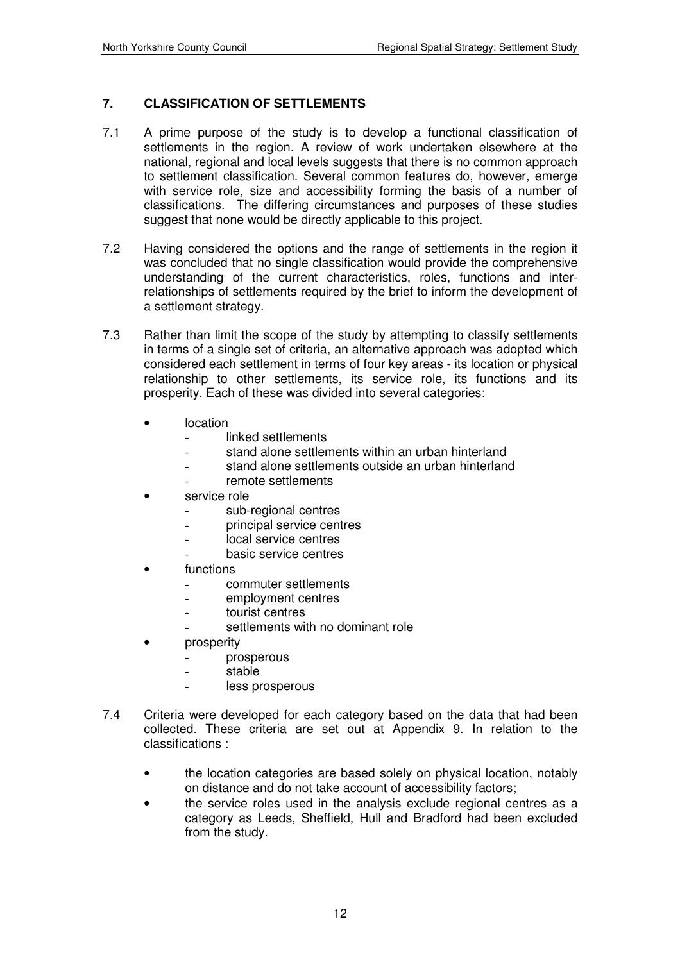### **7. CLASSIFICATION OF SETTLEMENTS**

- 7.1 A prime purpose of the study is to develop a functional classification of settlements in the region. A review of work undertaken elsewhere at the national, regional and local levels suggests that there is no common approach to settlement classification. Several common features do, however, emerge with service role, size and accessibility forming the basis of a number of classifications. The differing circumstances and purposes of these studies suggest that none would be directly applicable to this project.
- 7.2 Having considered the options and the range of settlements in the region it was concluded that no single classification would provide the comprehensive understanding of the current characteristics, roles, functions and interrelationships of settlements required by the brief to inform the development of a settlement strategy.
- 7.3 Rather than limit the scope of the study by attempting to classify settlements in terms of a single set of criteria, an alternative approach was adopted which considered each settlement in terms of four key areas - its location or physical relationship to other settlements, its service role, its functions and its prosperity. Each of these was divided into several categories:
	- location
		- linked settlements
		- stand alone settlements within an urban hinterland
		- stand alone settlements outside an urban hinterland
		- remote settlements
	- service role
		- sub-regional centres
		- principal service centres
		- local service centres
		- basic service centres
	- functions
		- commuter settlements
		- employment centres
		- tourist centres
		- settlements with no dominant role
	- **prosperity** 
		- prosperous
		- stable
		- less prosperous
- 7.4 Criteria were developed for each category based on the data that had been collected. These criteria are set out at Appendix 9. In relation to the classifications :
	- the location categories are based solely on physical location, notably on distance and do not take account of accessibility factors;
	- the service roles used in the analysis exclude regional centres as a category as Leeds, Sheffield, Hull and Bradford had been excluded from the study.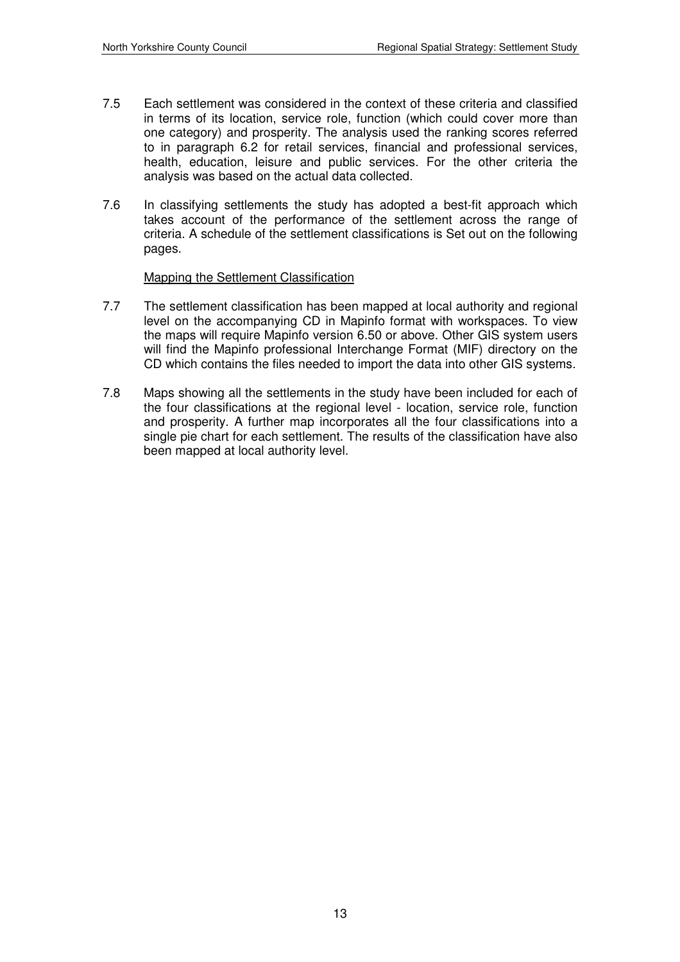- 7.5 Each settlement was considered in the context of these criteria and classified in terms of its location, service role, function (which could cover more than one category) and prosperity. The analysis used the ranking scores referred to in paragraph 6.2 for retail services, financial and professional services, health, education, leisure and public services. For the other criteria the analysis was based on the actual data collected.
- 7.6 In classifying settlements the study has adopted a best-fit approach which takes account of the performance of the settlement across the range of criteria. A schedule of the settlement classifications is Set out on the following pages.

#### Mapping the Settlement Classification

- 7.7 The settlement classification has been mapped at local authority and regional level on the accompanying CD in Mapinfo format with workspaces. To view the maps will require Mapinfo version 6.50 or above. Other GIS system users will find the Mapinfo professional Interchange Format (MIF) directory on the CD which contains the files needed to import the data into other GIS systems.
- 7.8 Maps showing all the settlements in the study have been included for each of the four classifications at the regional level - location, service role, function and prosperity. A further map incorporates all the four classifications into a single pie chart for each settlement. The results of the classification have also been mapped at local authority level.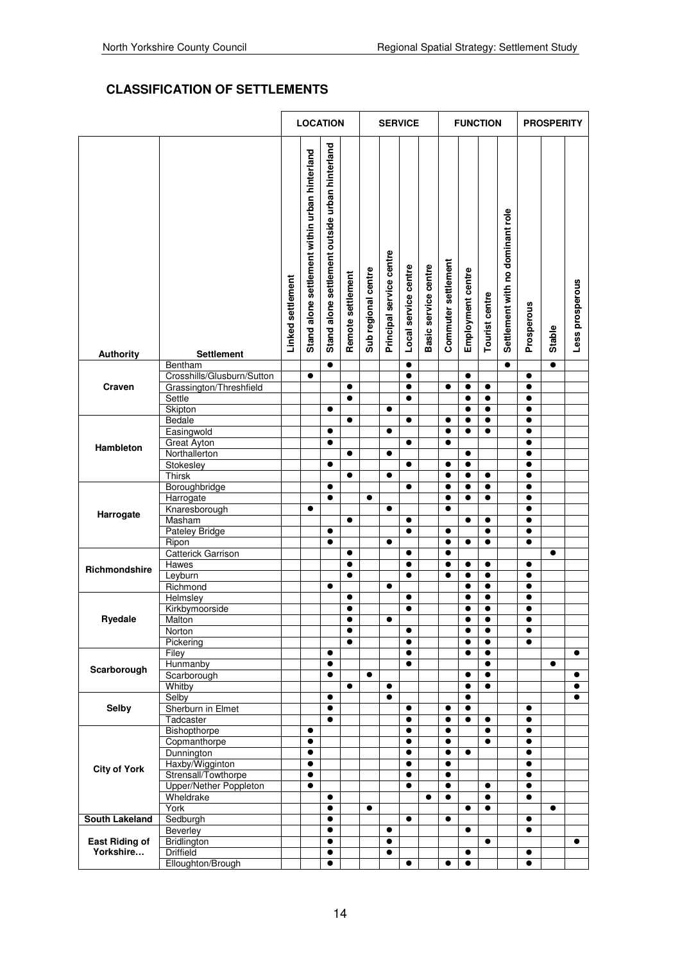# **CLASSIFICATION OF SETTLEMENTS**

|                       |                              |                   | <b>LOCATION</b>                                |                                                 |                   |                     |                          | <b>SERVICE</b>         |                      |                        |                        | <b>FUNCTION</b>        |                                  |                        | <b>PROSPERITY</b> |                 |
|-----------------------|------------------------------|-------------------|------------------------------------------------|-------------------------------------------------|-------------------|---------------------|--------------------------|------------------------|----------------------|------------------------|------------------------|------------------------|----------------------------------|------------------------|-------------------|-----------------|
|                       |                              |                   |                                                |                                                 |                   |                     |                          |                        |                      |                        |                        |                        |                                  |                        |                   |                 |
|                       |                              | Linked settlement | Stand alone settlement within urban hinterland | Stand alone settlement outside urban hinterland | Remote settlement | Sub regional centre | Principal service centre | Local service centre   | Basic service centre | Commuter settlement    | Employment centre      | Tourist centre         | Settlement with no dominant role | Prosperous             | Stable            | Less prosperous |
| <b>Authority</b>      | <b>Settlement</b><br>Bentham |                   |                                                | $\bullet$                                       |                   |                     |                          | $\bullet$              |                      |                        |                        |                        | $\bullet$                        |                        | $\bullet$         |                 |
|                       | Crosshills/Glusburn/Sutton   |                   | $\bullet$                                      |                                                 |                   |                     |                          | $\bullet$              |                      |                        | $\bullet$              |                        |                                  | $\bullet$              |                   |                 |
| Craven                | Grassington/Threshfield      |                   |                                                |                                                 | $\bullet$         |                     |                          | $\bullet$              |                      | $\bullet$              | $\bullet$              | $\bullet$              |                                  | $\bullet$              |                   |                 |
|                       | Settle                       |                   |                                                |                                                 | $\bullet$         |                     |                          | $\bullet$              |                      |                        | $\bullet$              | $\bullet$              |                                  | $\bullet$              |                   |                 |
|                       | Skipton                      |                   |                                                | $\bullet$                                       | $\bullet$         |                     | $\bullet$                |                        |                      |                        | $\bullet$              | $\bullet$              |                                  | $\bullet$<br>$\bullet$ |                   |                 |
|                       | Bedale<br>Easingwold         |                   |                                                | $\bullet$                                       |                   |                     | $\bullet$                | $\bullet$              |                      | $\bullet$<br>$\bullet$ | $\bullet$<br>$\bullet$ | $\bullet$<br>$\bullet$ |                                  | $\bullet$              |                   |                 |
|                       | <b>Great Ayton</b>           |                   |                                                | $\bullet$                                       |                   |                     |                          | $\bullet$              |                      | $\bullet$              |                        |                        |                                  | $\bullet$              |                   |                 |
| Hambleton             | Northallerton                |                   |                                                |                                                 | $\bullet$         |                     | $\bullet$                |                        |                      |                        | $\bullet$              |                        |                                  | $\bullet$              |                   |                 |
|                       | Stokesley                    |                   |                                                | $\bullet$                                       |                   |                     |                          | $\bullet$              |                      | $\bullet$              | $\bullet$              |                        |                                  | $\bullet$              |                   |                 |
|                       | <b>Thirsk</b>                |                   |                                                |                                                 | $\bullet$         |                     | $\bullet$                |                        |                      | $\bullet$              | $\bullet$              | $\bullet$              |                                  | $\bullet$              |                   |                 |
|                       | Boroughbridge<br>Harrogate   |                   |                                                | $\bullet$<br>$\bullet$                          |                   | $\bullet$           |                          | $\bullet$              |                      | $\bullet$<br>$\bullet$ | $\bullet$<br>$\bullet$ | $\bullet$<br>$\bullet$ |                                  | $\bullet$<br>$\bullet$ |                   |                 |
|                       | Knaresborough                |                   | $\bullet$                                      |                                                 |                   |                     | $\bullet$                |                        |                      | $\bullet$              |                        |                        |                                  | $\bullet$              |                   |                 |
| Harrogate             | Masham                       |                   |                                                |                                                 | $\bullet$         |                     |                          | $\bullet$              |                      |                        | $\bullet$              | $\bullet$              |                                  | $\bullet$              |                   |                 |
|                       | <b>Pateley Bridge</b>        |                   |                                                | $\bullet$                                       |                   |                     |                          | $\bullet$              |                      | $\bullet$              |                        | $\bullet$              |                                  | $\bullet$              |                   |                 |
|                       | Ripon                        |                   |                                                | $\bullet$                                       |                   |                     | $\bullet$                |                        |                      | $\bullet$              | $\bullet$              | $\bullet$              |                                  | $\bullet$              |                   |                 |
|                       | <b>Catterick Garrison</b>    |                   |                                                |                                                 | $\bullet$         |                     |                          | $\bullet$              |                      | $\bullet$              |                        |                        |                                  |                        | $\bullet$         |                 |
| Richmondshire         | Hawes                        |                   |                                                |                                                 | $\bullet$         |                     |                          | $\bullet$<br>$\bullet$ |                      | $\bullet$<br>$\bullet$ | $\bullet$<br>$\bullet$ | $\bullet$              |                                  | $\bullet$<br>$\bullet$ |                   |                 |
|                       | Leyburn<br>Richmond          |                   |                                                | $\bullet$                                       | $\bullet$         |                     | $\bullet$                |                        |                      |                        | $\bullet$              | $\bullet$<br>$\bullet$ |                                  | $\bullet$              |                   |                 |
|                       | Helmsley                     |                   |                                                |                                                 | $\bullet$         |                     |                          | $\bullet$              |                      |                        | $\bullet$              | $\bullet$              |                                  | $\bullet$              |                   |                 |
|                       | Kirkbymoorside               |                   |                                                |                                                 | $\bullet$         |                     |                          | $\bullet$              |                      |                        | $\bullet$              | $\bullet$              |                                  | $\bullet$              |                   |                 |
| <b>Ryedale</b>        | Malton                       |                   |                                                |                                                 | $\bullet$         |                     | $\bullet$                |                        |                      |                        | $\bullet$              | $\bullet$              |                                  | $\bullet$              |                   |                 |
|                       | Norton                       |                   |                                                |                                                 | $\bullet$         |                     |                          | $\bullet$              |                      |                        | $\bullet$              | $\bullet$              |                                  | $\bullet$              |                   |                 |
|                       | Pickering                    |                   |                                                |                                                 | $\bullet$         |                     |                          | $\bullet$              |                      |                        | $\bullet$              | $\bullet$              |                                  | $\bullet$              |                   |                 |
|                       | Filey                        |                   |                                                | $\bullet$<br>$\bullet$                          |                   |                     |                          | $\bullet$<br>$\bullet$ |                      |                        | $\bullet$              | $\bullet$<br>$\bullet$ |                                  |                        | $\bullet$         | $\bullet$       |
| Scarborough           | Hunmanby<br>Scarborough      |                   |                                                | $\bullet$                                       |                   | $\bullet$           |                          |                        |                      |                        | $\bullet$              | $\bullet$              |                                  |                        |                   | $\bullet$       |
|                       | Whitby                       |                   |                                                |                                                 | $\bullet$         |                     | $\bullet$                |                        |                      |                        | $\bullet$              | $\bullet$              |                                  |                        |                   | $\bullet$       |
|                       | Selby                        |                   |                                                | $\bullet$                                       |                   |                     | $\bullet$                |                        |                      |                        | $\bullet$              |                        |                                  |                        |                   | $\bullet$       |
| Selby                 | Sherburn in Elmet            |                   |                                                | $\bullet$                                       |                   |                     |                          | $\bullet$              |                      | $\bullet$              | $\bullet$              |                        |                                  | $\bullet$              |                   |                 |
|                       | Tadcaster                    |                   |                                                | $\bullet$                                       |                   |                     |                          | $\bullet$              |                      | $\bullet$              | $\bullet$              | $\bullet$              |                                  | $\bullet$              |                   |                 |
|                       | Bishopthorpe                 |                   | $\bullet$                                      |                                                 |                   |                     |                          | $\bullet$              |                      | $\bullet$              |                        | $\bullet$              |                                  | $\bullet$              |                   |                 |
|                       | Copmanthorpe<br>Dunnington   |                   | $\bullet$<br>$\bullet$                         |                                                 |                   |                     |                          | $\bullet$<br>$\bullet$ |                      | $\bullet$<br>$\bullet$ | $\bullet$              | $\bullet$              |                                  | $\bullet$<br>$\bullet$ |                   |                 |
|                       | Haxby/Wigginton              |                   | $\bullet$                                      |                                                 |                   |                     |                          | $\bullet$              |                      | $\bullet$              |                        |                        |                                  | $\bullet$              |                   |                 |
| <b>City of York</b>   | Strensall/Towthorpe          |                   | $\bullet$                                      |                                                 |                   |                     |                          | $\bullet$              |                      | $\bullet$              |                        |                        |                                  | $\bullet$              |                   |                 |
|                       | Upper/Nether Poppleton       |                   | $\bullet$                                      |                                                 |                   |                     |                          | $\bullet$              |                      | $\bullet$              |                        | $\bullet$              |                                  | $\bullet$              |                   |                 |
|                       | Wheldrake                    |                   |                                                | $\bullet$                                       |                   |                     |                          |                        | $\bullet$            | $\bullet$              |                        | $\bullet$              |                                  | $\bullet$              |                   |                 |
|                       | York                         |                   |                                                | $\bullet$                                       |                   | $\bullet$           |                          |                        |                      |                        | $\bullet$              | $\bullet$              |                                  |                        | $\bullet$         |                 |
| South Lakeland        | Sedburgh                     |                   |                                                | $\bullet$<br>$\bullet$                          |                   |                     |                          | $\bullet$              |                      | $\bullet$              | $\bullet$              |                        |                                  | $\bullet$<br>$\bullet$ |                   |                 |
| <b>East Riding of</b> | Beverley<br>Bridlington      |                   |                                                | $\bullet$                                       |                   |                     | $\bullet$<br>$\bullet$   |                        |                      |                        |                        | $\bullet$              |                                  |                        |                   | $\bullet$       |
| Yorkshire             | <b>Driffield</b>             |                   |                                                | $\bullet$                                       |                   |                     | $\bullet$                |                        |                      |                        | $\bullet$              |                        |                                  | $\bullet$              |                   |                 |
|                       | Elloughton/Brough            |                   |                                                | $\bullet$                                       |                   |                     |                          | $\bullet$              |                      | ●                      | $\bullet$              |                        |                                  | $\bullet$              |                   |                 |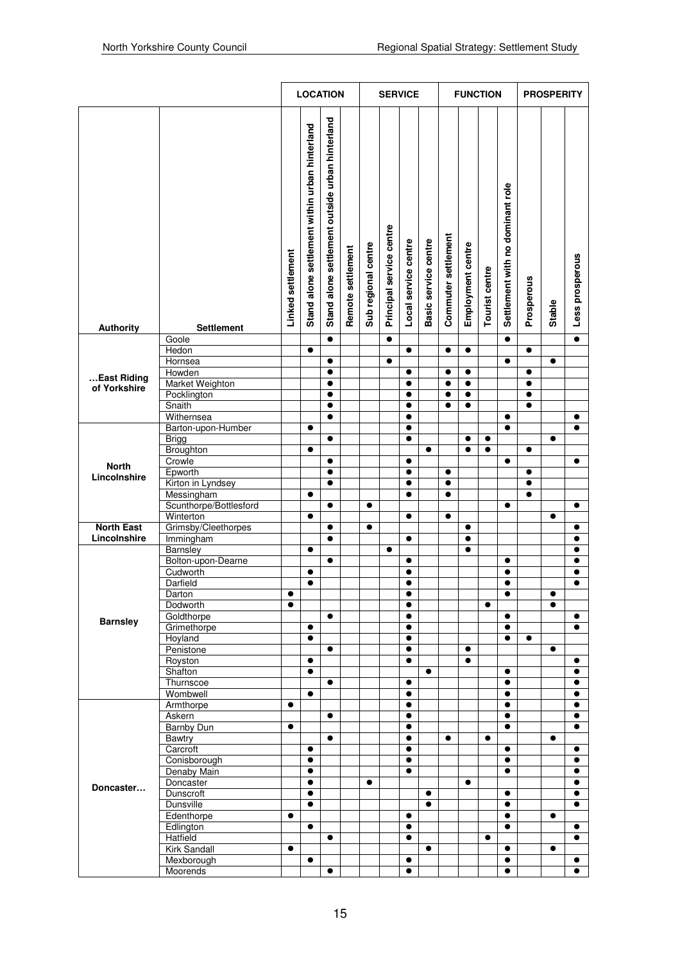|                   |                                     |                   | <b>LOCATION</b>                                |                                                 |                   |                     |                          | <b>SERVICE</b>       |                      |                     |                        | <b>FUNCTION</b> |                                  | <b>PROSPERITY</b> |           |                        |
|-------------------|-------------------------------------|-------------------|------------------------------------------------|-------------------------------------------------|-------------------|---------------------|--------------------------|----------------------|----------------------|---------------------|------------------------|-----------------|----------------------------------|-------------------|-----------|------------------------|
| Authority         | <b>Settlement</b>                   | Linked settlement | Stand alone settlement within urban hinterland | Stand alone settlement outside urban hinterland | Remote settlement | Sub regional centre | Principal service centre | Local service centre | Basic service centre | Commuter settlement | Employment centre      | Tourist centre  | Settlement with no dominant role | Prosperous        | Stable    | Less prosperous        |
|                   | Goole                               |                   |                                                | $\bullet$                                       |                   |                     | $\bullet$                |                      |                      |                     |                        |                 | $\bullet$                        |                   |           | $\bullet$              |
|                   | Hedon                               |                   | $\bullet$                                      |                                                 |                   |                     |                          | $\bullet$            |                      | $\bullet$           | $\bullet$              |                 |                                  | $\bullet$         |           |                        |
|                   | Hornsea<br>Howden                   |                   |                                                | $\bullet$<br>$\bullet$                          |                   |                     | $\bullet$                | $\bullet$            |                      | $\bullet$           | $\bullet$              |                 | $\bullet$                        | $\bullet$         | $\bullet$ |                        |
| East Riding       | Market Weighton                     |                   |                                                | $\bullet$                                       |                   |                     |                          | $\bullet$            |                      | $\bullet$           | $\bullet$              |                 |                                  | $\bullet$         |           |                        |
| of Yorkshire      | Pocklington                         |                   |                                                | $\bullet$                                       |                   |                     |                          | $\bullet$            |                      | $\bullet$           | $\bullet$              |                 |                                  | $\bullet$         |           |                        |
|                   | Snaith                              |                   |                                                | $\bullet$                                       |                   |                     |                          | $\bullet$            |                      | $\bullet$           | $\bullet$              |                 |                                  | $\bullet$         |           |                        |
|                   | Withernsea                          |                   |                                                | $\bullet$                                       |                   |                     |                          | $\bullet$            |                      |                     |                        |                 | $\bullet$                        |                   |           | $\bullet$              |
|                   | Barton-upon-Humber                  |                   | $\bullet$                                      |                                                 |                   |                     |                          | $\bullet$            |                      |                     |                        |                 | $\bullet$                        |                   |           | $\bullet$              |
|                   | <b>Brigg</b>                        |                   |                                                | $\bullet$                                       |                   |                     |                          | $\bullet$            |                      |                     | $\bullet$              | $\bullet$       |                                  |                   | $\bullet$ |                        |
|                   | Broughton                           |                   | $\bullet$                                      |                                                 |                   |                     |                          |                      | $\bullet$            |                     | $\bullet$              | $\bullet$       |                                  | $\bullet$         |           |                        |
| <b>North</b>      | Crowle                              |                   |                                                | $\bullet$                                       |                   |                     |                          | $\bullet$            |                      |                     |                        |                 | $\bullet$                        |                   |           | $\bullet$              |
| Lincolnshire      | Epworth                             |                   |                                                | $\bullet$                                       |                   |                     |                          | $\bullet$            |                      | $\bullet$           |                        |                 |                                  | $\bullet$         |           |                        |
|                   | Kirton in Lyndsey                   |                   |                                                | $\bullet$                                       |                   |                     |                          | $\bullet$            |                      | $\bullet$           |                        |                 |                                  | $\bullet$         |           |                        |
|                   | Messingham                          |                   | $\bullet$                                      |                                                 |                   |                     |                          | $\bullet$            |                      | $\bullet$           |                        |                 |                                  | $\bullet$         |           |                        |
|                   | Scunthorpe/Bottlesford<br>Winterton |                   |                                                | $\bullet$                                       |                   | $\bullet$           |                          | $\bullet$            |                      | $\bullet$           |                        |                 | $\bullet$                        |                   | $\bullet$ | $\bullet$              |
| <b>North East</b> | Grimsby/Cleethorpes                 |                   |                                                | $\bullet$                                       |                   | $\bullet$           |                          |                      |                      |                     | $\bullet$              |                 |                                  |                   |           | $\bullet$              |
| Lincolnshire      | Immingham                           |                   |                                                | $\bullet$                                       |                   |                     |                          | $\bullet$            |                      |                     | $\bullet$              |                 |                                  |                   |           | $\bullet$              |
|                   | Barnsley                            |                   | $\bullet$                                      |                                                 |                   |                     | $\bullet$                |                      |                      |                     | $\bullet$              |                 |                                  |                   |           | $\bullet$              |
|                   | Bolton-upon-Dearne                  |                   |                                                | $\bullet$                                       |                   |                     |                          | $\bullet$            |                      |                     |                        |                 | $\bullet$                        |                   |           | $\bullet$              |
|                   | Cudworth                            |                   | $\bullet$                                      |                                                 |                   |                     |                          | $\bullet$            |                      |                     |                        |                 | $\bullet$                        |                   |           | $\bullet$              |
|                   | Darfield                            |                   | $\bullet$                                      |                                                 |                   |                     |                          | $\bullet$            |                      |                     |                        |                 | $\bullet$                        |                   |           | $\bullet$              |
|                   | Darton                              | $\bullet$         |                                                |                                                 |                   |                     |                          | $\bullet$            |                      |                     |                        |                 | $\bullet$                        |                   | $\bullet$ |                        |
|                   | Dodworth                            | $\bullet$         |                                                |                                                 |                   |                     |                          | $\bullet$            |                      |                     |                        | $\bullet$       |                                  |                   | $\bullet$ |                        |
| <b>Barnsley</b>   | Goldthorpe                          |                   |                                                | $\bullet$                                       |                   |                     |                          | $\bullet$            |                      |                     |                        |                 | $\bullet$                        |                   |           | $\bullet$              |
|                   | Grimethorpe                         |                   | $\bullet$                                      |                                                 |                   |                     |                          | $\bullet$            |                      |                     |                        |                 | $\bullet$                        |                   |           | $\bullet$              |
|                   | Hoyland                             |                   | $\bullet$                                      |                                                 |                   |                     |                          | $\bullet$            |                      |                     |                        |                 | $\bullet$                        | $\bullet$         |           |                        |
|                   | Penistone                           |                   |                                                | $\bullet$                                       |                   |                     |                          | $\bullet$            |                      |                     | $\bullet$<br>$\bullet$ |                 |                                  |                   | $\bullet$ |                        |
|                   | Royston<br>Shafton                  |                   | $\bullet$<br>$\bullet$                         |                                                 |                   |                     |                          | $\bullet$            | $\bullet$            |                     |                        |                 | $\bullet$                        |                   |           | $\bullet$<br>$\bullet$ |
|                   | Thurnscoe                           |                   |                                                | $\bullet$                                       |                   |                     |                          | $\bullet$            |                      |                     |                        |                 | $\bullet$                        |                   |           | $\bullet$              |
|                   | Wombwell                            |                   | $\bullet$                                      |                                                 |                   |                     |                          | $\bullet$            |                      |                     |                        |                 | $\bullet$                        |                   |           | $\bullet$              |
|                   | Armthorpe                           | $\bullet$         |                                                |                                                 |                   |                     |                          | $\bullet$            |                      |                     |                        |                 | $\bullet$                        |                   |           | $\bullet$              |
|                   | Askern                              |                   |                                                | $\bullet$                                       |                   |                     |                          | $\bullet$            |                      |                     |                        |                 | $\bullet$                        |                   |           | $\bullet$              |
|                   | <b>Barnby Dun</b>                   | $\bullet$         |                                                |                                                 |                   |                     |                          | $\bullet$            |                      |                     |                        |                 | $\bullet$                        |                   |           | $\bullet$              |
|                   | <b>Bawtry</b>                       |                   |                                                | $\bullet$                                       |                   |                     |                          | $\bullet$            |                      | $\bullet$           |                        | $\bullet$       |                                  |                   | $\bullet$ |                        |
|                   | Carcroft                            |                   | $\bullet$                                      |                                                 |                   |                     |                          | $\bullet$            |                      |                     |                        |                 | $\bullet$                        |                   |           | $\bullet$              |
|                   | Conisborough                        |                   | $\bullet$                                      |                                                 |                   |                     |                          | $\bullet$            |                      |                     |                        |                 | $\bullet$                        |                   |           | $\bullet$              |
|                   | Denaby Main<br>Doncaster            |                   | $\bullet$<br>$\bullet$                         |                                                 |                   | $\bullet$           |                          | $\bullet$            |                      |                     | $\bullet$              |                 | $\bullet$                        |                   |           | $\bullet$<br>$\bullet$ |
| Doncaster         | Dunscroft                           |                   | $\bullet$                                      |                                                 |                   |                     |                          |                      | $\bullet$            |                     |                        |                 | $\bullet$                        |                   |           | $\bullet$              |
|                   | <b>Dunsville</b>                    |                   | $\bullet$                                      |                                                 |                   |                     |                          |                      | $\bullet$            |                     |                        |                 | $\bullet$                        |                   |           | $\bullet$              |
|                   | Edenthorpe                          | $\bullet$         |                                                |                                                 |                   |                     |                          | $\bullet$            |                      |                     |                        |                 | $\bullet$                        |                   | $\bullet$ |                        |
|                   | Edlington                           |                   | $\bullet$                                      |                                                 |                   |                     |                          | $\bullet$            |                      |                     |                        |                 | $\bullet$                        |                   |           | $\bullet$              |
|                   | Hatfield                            |                   |                                                | $\bullet$                                       |                   |                     |                          | $\bullet$            |                      |                     |                        | $\bullet$       |                                  |                   |           | $\bullet$              |
|                   | <b>Kirk Sandall</b>                 | $\bullet$         |                                                |                                                 |                   |                     |                          |                      | $\bullet$            |                     |                        |                 | $\bullet$                        |                   | $\bullet$ |                        |
|                   | Mexborough                          |                   | $\bullet$                                      |                                                 |                   |                     |                          | $\bullet$            |                      |                     |                        |                 | $\bullet$                        |                   |           | $\bullet$              |
|                   | Moorends                            |                   |                                                | $\bullet$                                       |                   |                     |                          | $\bullet$            |                      |                     |                        |                 | $\bullet$                        |                   |           | $\bullet$              |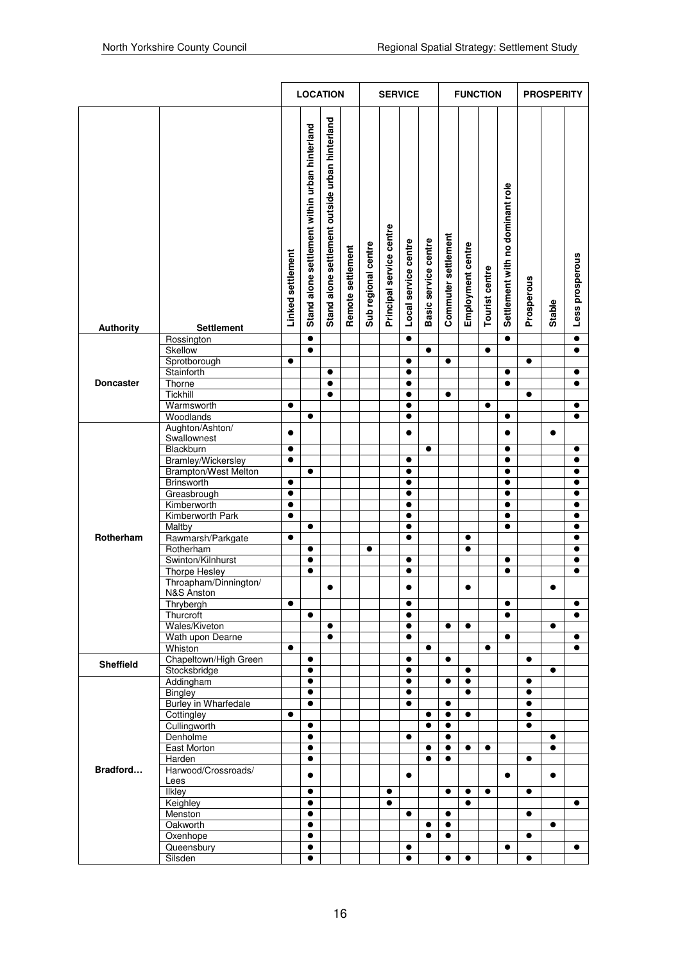|                  |                                            |                   | <b>LOCATION</b>                                |                                                 |                   |                     |                          | <b>SERVICE</b>         |                      |                     |                        | <b>FUNCTION</b>       |                                  | <b>PROSPERITY</b>      |           |                        |
|------------------|--------------------------------------------|-------------------|------------------------------------------------|-------------------------------------------------|-------------------|---------------------|--------------------------|------------------------|----------------------|---------------------|------------------------|-----------------------|----------------------------------|------------------------|-----------|------------------------|
| <b>Authority</b> | Settlement                                 | Linked settlement | Stand alone settlement within urban hinterland | Stand alone settlement outside urban hinterland | Remote settlement | Sub regional centre | Principal service centre | Local service centre   | Basic service centre | Commuter settlement | Employment centre      | <b>Tourist centre</b> | Settlement with no dominant role | Prosperous             | Stable    | Less prosperous        |
|                  | Rossington                                 |                   | $\bullet$                                      |                                                 |                   |                     |                          | $\bullet$              |                      |                     |                        |                       | $\bullet$                        |                        |           | $\bullet$              |
|                  | Skellow                                    |                   | $\bullet$                                      |                                                 |                   |                     |                          |                        | $\bullet$            |                     |                        | $\bullet$             |                                  |                        |           | $\bullet$              |
|                  | Sprotborough<br>Stainforth                 | $\bullet$         |                                                |                                                 |                   |                     |                          | $\bullet$              |                      | $\bullet$           |                        |                       |                                  | $\bullet$              |           |                        |
| <b>Doncaster</b> | Thorne                                     |                   |                                                | $\bullet$<br>$\bullet$                          |                   |                     |                          | $\bullet$<br>$\bullet$ |                      |                     |                        |                       | $\bullet$<br>$\bullet$           |                        |           | $\bullet$<br>$\bullet$ |
|                  | Tickhill                                   |                   |                                                | $\bullet$                                       |                   |                     |                          | $\bullet$              |                      | $\bullet$           |                        |                       |                                  | $\bullet$              |           |                        |
|                  | Warmsworth                                 | $\bullet$         |                                                |                                                 |                   |                     |                          | $\bullet$              |                      |                     |                        | $\bullet$             |                                  |                        |           | $\bullet$              |
|                  | Woodlands                                  |                   | $\bullet$                                      |                                                 |                   |                     |                          | $\bullet$              |                      |                     |                        |                       | $\bullet$                        |                        |           | $\bullet$              |
|                  | Aughton/Ashton/                            | $\bullet$         |                                                |                                                 |                   |                     |                          | $\bullet$              |                      |                     |                        |                       | $\bullet$                        |                        | $\bullet$ |                        |
|                  | Swallownest                                |                   |                                                |                                                 |                   |                     |                          |                        |                      |                     |                        |                       |                                  |                        |           |                        |
|                  | Blackburn                                  | $\bullet$         |                                                |                                                 |                   |                     |                          |                        | $\bullet$            |                     |                        |                       | $\bullet$                        |                        |           | $\bullet$              |
|                  | Bramley/Wickersley<br>Brampton/West Melton | $\bullet$         | $\bullet$                                      |                                                 |                   |                     |                          | $\bullet$<br>$\bullet$ |                      |                     |                        |                       | $\bullet$<br>$\bullet$           |                        |           | $\bullet$<br>$\bullet$ |
|                  | Brinsworth                                 | $\bullet$         |                                                |                                                 |                   |                     |                          | $\bullet$              |                      |                     |                        |                       | $\bullet$                        |                        |           | $\bullet$              |
|                  | Greasbrough                                | $\bullet$         |                                                |                                                 |                   |                     |                          | $\bullet$              |                      |                     |                        |                       | $\bullet$                        |                        |           | $\bullet$              |
|                  | Kimberworth                                | $\bullet$         |                                                |                                                 |                   |                     |                          | $\bullet$              |                      |                     |                        |                       | $\bullet$                        |                        |           | $\bullet$              |
|                  | Kimberworth Park                           | $\bullet$         |                                                |                                                 |                   |                     |                          | $\bullet$              |                      |                     |                        |                       | $\bullet$                        |                        |           | $\bullet$              |
|                  | Maltby                                     |                   | $\bullet$                                      |                                                 |                   |                     |                          | $\bullet$              |                      |                     |                        |                       | $\bullet$                        |                        |           | $\bullet$              |
| Rotherham        | Rawmarsh/Parkgate                          | $\bullet$         |                                                |                                                 |                   |                     |                          | $\bullet$              |                      |                     | $\bullet$              |                       |                                  |                        |           | $\bullet$              |
|                  | Rotherham                                  |                   | $\bullet$                                      |                                                 |                   | $\bullet$           |                          |                        |                      |                     | $\bullet$              |                       |                                  |                        |           | $\bullet$              |
|                  | Swinton/Kilnhurst                          |                   | $\bullet$                                      |                                                 |                   |                     |                          | $\bullet$              |                      |                     |                        |                       | $\bullet$                        |                        |           | $\bullet$              |
|                  | <b>Thorpe Hesley</b>                       |                   | $\bullet$                                      |                                                 |                   |                     |                          | $\bullet$              |                      |                     |                        |                       | $\bullet$                        |                        |           | $\bullet$              |
|                  | Throapham/Dinnington/                      |                   |                                                | $\bullet$                                       |                   |                     |                          |                        |                      |                     |                        |                       |                                  |                        |           |                        |
|                  | N&S Anston<br>Thrybergh                    | $\bullet$         |                                                |                                                 |                   |                     |                          | $\bullet$              |                      |                     |                        |                       | $\bullet$                        |                        |           | $\bullet$              |
|                  | Thurcroft                                  |                   | $\bullet$                                      |                                                 |                   |                     |                          | $\bullet$              |                      |                     |                        |                       | $\bullet$                        |                        |           | $\bullet$              |
|                  | Wales/Kiveton                              |                   |                                                | $\bullet$                                       |                   |                     |                          | $\bullet$              |                      | $\bullet$           | $\bullet$              |                       |                                  |                        | $\bullet$ |                        |
|                  | Wath upon Dearne                           |                   |                                                | $\bullet$                                       |                   |                     |                          | $\bullet$              |                      |                     |                        |                       | $\bullet$                        |                        |           | $\bullet$              |
|                  | Whiston                                    | $\bullet$         |                                                |                                                 |                   |                     |                          |                        | $\bullet$            |                     |                        | $\bullet$             |                                  |                        |           | $\bullet$              |
| <b>Sheffield</b> | Chapeltown/High Green                      |                   | $\bullet$                                      |                                                 |                   |                     |                          | $\bullet$              |                      | $\bullet$           |                        |                       |                                  | $\bullet$              |           |                        |
|                  | Stocksbridge                               |                   | $\bullet$                                      |                                                 |                   |                     |                          | $\bullet$              |                      |                     | $\bullet$              |                       |                                  |                        | $\bullet$ |                        |
|                  | Addingham                                  |                   | $\bullet$                                      |                                                 |                   |                     |                          | $\bullet$              |                      | $\bullet$           | $\bullet$              |                       |                                  | $\bullet$              |           |                        |
|                  | Bingley<br><b>Burley in Wharfedale</b>     |                   | $\bullet$<br>$\bullet$                         |                                                 |                   |                     |                          | $\bullet$<br>$\bullet$ |                      | $\bullet$           | $\bullet$              |                       |                                  | $\bullet$<br>$\bullet$ |           |                        |
|                  | Cottingley                                 | $\bullet$         |                                                |                                                 |                   |                     |                          |                        | $\bullet$            | $\bullet$           | $\bullet$              |                       |                                  | $\bullet$              |           |                        |
|                  | Cullingworth                               |                   | $\bullet$                                      |                                                 |                   |                     |                          |                        | $\bullet$            | $\bullet$           |                        |                       |                                  | $\bullet$              |           |                        |
|                  | Denholme                                   |                   | $\bullet$                                      |                                                 |                   |                     |                          | $\bullet$              |                      | $\bullet$           |                        |                       |                                  |                        | $\bullet$ |                        |
|                  | East Morton                                |                   | $\bullet$                                      |                                                 |                   |                     |                          |                        | $\bullet$            | $\bullet$           | $\bullet$              | $\bullet$             |                                  |                        | $\bullet$ |                        |
|                  | Harden                                     |                   | $\bullet$                                      |                                                 |                   |                     |                          |                        | $\bullet$            | $\bullet$           |                        |                       |                                  | $\bullet$              |           |                        |
| Bradford         | Harwood/Crossroads/                        |                   | $\bullet$                                      |                                                 |                   |                     |                          | $\bullet$              |                      |                     |                        |                       | $\bullet$                        |                        | $\bullet$ |                        |
|                  | Lees                                       |                   |                                                |                                                 |                   |                     |                          |                        |                      |                     |                        |                       |                                  |                        |           |                        |
|                  | <b>Ilkley</b><br>Keighley                  |                   | $\bullet$<br>$\bullet$                         |                                                 |                   |                     | $\bullet$<br>$\bullet$   |                        |                      | $\bullet$           | $\bullet$<br>$\bullet$ | $\bullet$             |                                  | $\bullet$              |           | $\bullet$              |
|                  | Menston                                    |                   | $\bullet$                                      |                                                 |                   |                     |                          | $\bullet$              |                      | $\bullet$           |                        |                       |                                  | $\bullet$              |           |                        |
|                  | Oakworth                                   |                   | $\bullet$                                      |                                                 |                   |                     |                          |                        | $\bullet$            | $\bullet$           |                        |                       |                                  |                        | $\bullet$ |                        |
|                  | Oxenhope                                   |                   | $\bullet$                                      |                                                 |                   |                     |                          |                        | $\bullet$            | $\bullet$           |                        |                       |                                  | $\bullet$              |           |                        |
|                  | Queensbury                                 |                   | $\bullet$                                      |                                                 |                   |                     |                          | $\bullet$              |                      |                     |                        |                       | $\bullet$                        |                        |           | $\bullet$              |
|                  | Silsden                                    |                   | $\bullet$                                      |                                                 |                   |                     |                          | $\bullet$              |                      | $\bullet$           | $\bullet$              |                       |                                  | $\bullet$              |           |                        |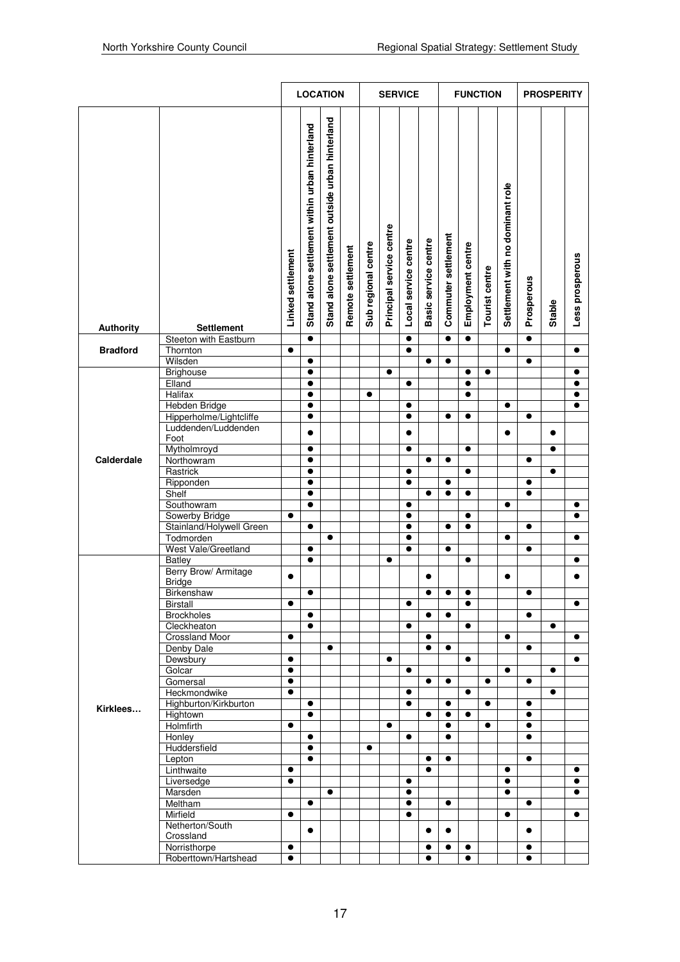|                  |                                                |                        | <b>LOCATION</b>                                |                                                 |                   |                     |                          | <b>SERVICE</b>         |                      |                     |                   | <b>FUNCTION</b> |                                  | <b>PROSPERITY</b> |           |                 |
|------------------|------------------------------------------------|------------------------|------------------------------------------------|-------------------------------------------------|-------------------|---------------------|--------------------------|------------------------|----------------------|---------------------|-------------------|-----------------|----------------------------------|-------------------|-----------|-----------------|
| <b>Authority</b> | Settlement                                     | Linked settlement      | Stand alone settlement within urban hinterland | Stand alone settlement outside urban hinterland | Remote settlement | Sub regional centre | Principal service centre | Local service centre   | Basic service centre | Commuter settlement | Employment centre | Tourist centre  | Settlement with no dominant role | Prosperous        | Stable    | Less prosperous |
| <b>Bradford</b>  | Steeton with Eastburn                          | $\bullet$              | $\bullet$                                      |                                                 |                   |                     |                          | $\bullet$<br>$\bullet$ |                      | $\bullet$           | $\bullet$         |                 | $\bullet$                        | $\bullet$         |           | $\bullet$       |
|                  | Thornton<br>Wilsden                            |                        | $\bullet$                                      |                                                 |                   |                     |                          |                        | $\bullet$            | $\bullet$           |                   |                 |                                  | $\bullet$         |           |                 |
|                  | Brighouse                                      |                        | $\bullet$                                      |                                                 |                   |                     | $\bullet$                |                        |                      |                     | $\bullet$         | $\bullet$       |                                  |                   |           | $\bullet$       |
|                  | Elland                                         |                        | $\bullet$                                      |                                                 |                   |                     |                          | $\bullet$              |                      |                     | $\bullet$         |                 |                                  |                   |           | $\bullet$       |
|                  | <b>Halifax</b>                                 |                        | $\bullet$                                      |                                                 |                   | $\bullet$           |                          |                        |                      |                     | $\bullet$         |                 |                                  |                   |           | $\bullet$       |
|                  | Hebden Bridge                                  |                        | $\bullet$                                      |                                                 |                   |                     |                          | $\bullet$              |                      |                     |                   |                 | $\bullet$                        |                   |           | $\bullet$       |
|                  | Hipperholme/Lightcliffe<br>Luddenden/Luddenden |                        | $\bullet$                                      |                                                 |                   |                     |                          | $\bullet$              |                      | $\bullet$           | $\bullet$         |                 |                                  | $\bullet$         |           |                 |
|                  | Foot                                           |                        | $\bullet$                                      |                                                 |                   |                     |                          | $\bullet$              |                      |                     |                   |                 | $\bullet$                        |                   | $\bullet$ |                 |
|                  | Mytholmroyd                                    |                        | $\bullet$                                      |                                                 |                   |                     |                          | $\bullet$              |                      |                     | $\bullet$         |                 |                                  |                   | $\bullet$ |                 |
| Calderdale       | Northowram<br>Rastrick                         |                        | $\bullet$<br>$\bullet$                         |                                                 |                   |                     |                          | $\bullet$              | $\bullet$            | $\bullet$           | $\bullet$         |                 |                                  | $\bullet$         | $\bullet$ |                 |
|                  | Ripponden                                      |                        | $\bullet$                                      |                                                 |                   |                     |                          | $\bullet$              |                      | $\bullet$           |                   |                 |                                  |                   |           |                 |
|                  | Shelf                                          |                        | $\bullet$                                      |                                                 |                   |                     |                          |                        | $\bullet$            | $\bullet$           | $\bullet$         |                 |                                  | $\bullet$         |           |                 |
|                  | Southowram                                     |                        | $\bullet$                                      |                                                 |                   |                     |                          | $\bullet$              |                      |                     |                   |                 | $\bullet$                        |                   |           | $\bullet$       |
|                  | Sowerby Bridge                                 | $\bullet$              |                                                |                                                 |                   |                     |                          | $\bullet$              |                      |                     | $\bullet$         |                 |                                  |                   |           | $\bullet$       |
|                  | Stainland/Holywell Green                       |                        | $\bullet$                                      |                                                 |                   |                     |                          | $\bullet$              |                      | $\bullet$           | $\bullet$         |                 |                                  | $\bullet$         |           |                 |
|                  | Todmorden                                      |                        |                                                | $\bullet$                                       |                   |                     |                          | $\bullet$              |                      |                     |                   |                 | $\bullet$                        |                   |           | $\bullet$       |
|                  | West Vale/Greetland                            |                        | $\bullet$                                      |                                                 |                   |                     |                          | $\bullet$              |                      | $\bullet$           |                   |                 |                                  | $\bullet$         |           |                 |
|                  | <b>Batley</b>                                  |                        | $\bullet$                                      |                                                 |                   |                     | $\bullet$                |                        |                      |                     | $\bullet$         |                 |                                  |                   |           | $\bullet$       |
|                  | Berry Brow/ Armitage<br><b>Bridge</b>          | $\bullet$              |                                                |                                                 |                   |                     |                          |                        | $\bullet$            |                     |                   |                 | $\bullet$                        |                   |           | $\bullet$       |
|                  | Birkenshaw                                     |                        | $\bullet$                                      |                                                 |                   |                     |                          |                        | $\bullet$            | $\bullet$           | $\bullet$         |                 |                                  | $\bullet$         |           |                 |
|                  | <b>Birstall</b>                                | $\bullet$              |                                                |                                                 |                   |                     |                          | $\bullet$              |                      |                     | $\bullet$         |                 |                                  |                   |           | $\bullet$       |
|                  | <b>Brockholes</b>                              |                        | $\bullet$                                      |                                                 |                   |                     |                          |                        | $\bullet$            | $\bullet$           |                   |                 |                                  | $\bullet$         |           |                 |
|                  | Cleckheaton                                    |                        | $\bullet$                                      |                                                 |                   |                     |                          | $\bullet$              |                      |                     | $\bullet$         |                 |                                  |                   | $\bullet$ |                 |
|                  | <b>Crossland Moor</b>                          | $\bullet$              |                                                |                                                 |                   |                     |                          |                        | $\bullet$            |                     |                   |                 | $\bullet$                        |                   |           | $\bullet$       |
|                  | Denby Dale                                     |                        |                                                | $\bullet$                                       |                   |                     |                          |                        | $\bullet$            | $\bullet$           |                   |                 |                                  | $\bullet$         |           |                 |
|                  | Dewsbury                                       | $\bullet$              |                                                |                                                 |                   |                     | $\bullet$                |                        |                      |                     | $\bullet$         |                 |                                  |                   |           | $\bullet$       |
|                  | Golcar                                         | $\bullet$              |                                                |                                                 |                   |                     |                          | $\bullet$              |                      |                     |                   |                 | $\bullet$                        |                   | $\bullet$ |                 |
|                  | Gomersal<br>Heckmondwike                       | $\bullet$<br>$\bullet$ |                                                |                                                 |                   |                     |                          | $\bullet$              | $\bullet$            | $\bullet$           | $\bullet$         | $\bullet$       |                                  | ٠                 | $\bullet$ |                 |
|                  | Highburton/Kirkburton                          |                        | $\bullet$                                      |                                                 |                   |                     |                          | $\bullet$              |                      | $\bullet$           |                   | $\bullet$       |                                  | $\bullet$         |           |                 |
| Kirklees         | Hightown                                       |                        | $\bullet$                                      |                                                 |                   |                     |                          |                        | $\bullet$            | $\bullet$           | $\bullet$         |                 |                                  | $\bullet$         |           |                 |
|                  | Holmfirth                                      | $\bullet$              |                                                |                                                 |                   |                     | $\bullet$                |                        |                      | $\bullet$           |                   | $\bullet$       |                                  | $\bullet$         |           |                 |
|                  | Honley                                         |                        | $\bullet$                                      |                                                 |                   |                     |                          | $\bullet$              |                      | $\bullet$           |                   |                 |                                  | $\bullet$         |           |                 |
|                  | Huddersfield                                   |                        | $\bullet$                                      |                                                 |                   | $\bullet$           |                          |                        |                      |                     |                   |                 |                                  |                   |           |                 |
|                  | Lepton                                         |                        | $\bullet$                                      |                                                 |                   |                     |                          |                        | $\bullet$            | $\bullet$           |                   |                 |                                  | $\bullet$         |           |                 |
|                  | Linthwaite                                     | $\bullet$              |                                                |                                                 |                   |                     |                          |                        | $\bullet$            |                     |                   |                 | $\bullet$                        |                   |           | $\bullet$       |
|                  | Liversedge                                     | $\bullet$              |                                                |                                                 |                   |                     |                          | $\bullet$              |                      |                     |                   |                 | $\bullet$                        |                   |           | $\bullet$       |
|                  | Marsden                                        |                        |                                                | $\bullet$                                       |                   |                     |                          | $\bullet$              |                      |                     |                   |                 | $\bullet$                        |                   |           | $\bullet$       |
|                  | Meltham                                        | $\bullet$              | $\bullet$                                      |                                                 |                   |                     |                          | $\bullet$              |                      | $\bullet$           |                   |                 | $\bullet$                        | $\bullet$         |           | $\bullet$       |
|                  | Mirfield<br>Netherton/South                    |                        |                                                |                                                 |                   |                     |                          | $\bullet$              |                      |                     |                   |                 |                                  |                   |           |                 |
|                  | Crossland                                      |                        | $\bullet$                                      |                                                 |                   |                     |                          |                        | $\bullet$            | $\bullet$           |                   |                 |                                  | $\bullet$         |           |                 |
|                  | Norristhorpe                                   | $\bullet$              |                                                |                                                 |                   |                     |                          |                        | $\bullet$            | $\bullet$           | $\bullet$         |                 |                                  | $\bullet$         |           |                 |
|                  | Roberttown/Hartshead                           | $\bullet$              |                                                |                                                 |                   |                     |                          |                        | $\bullet$            |                     | $\bullet$         |                 |                                  | $\bullet$         |           |                 |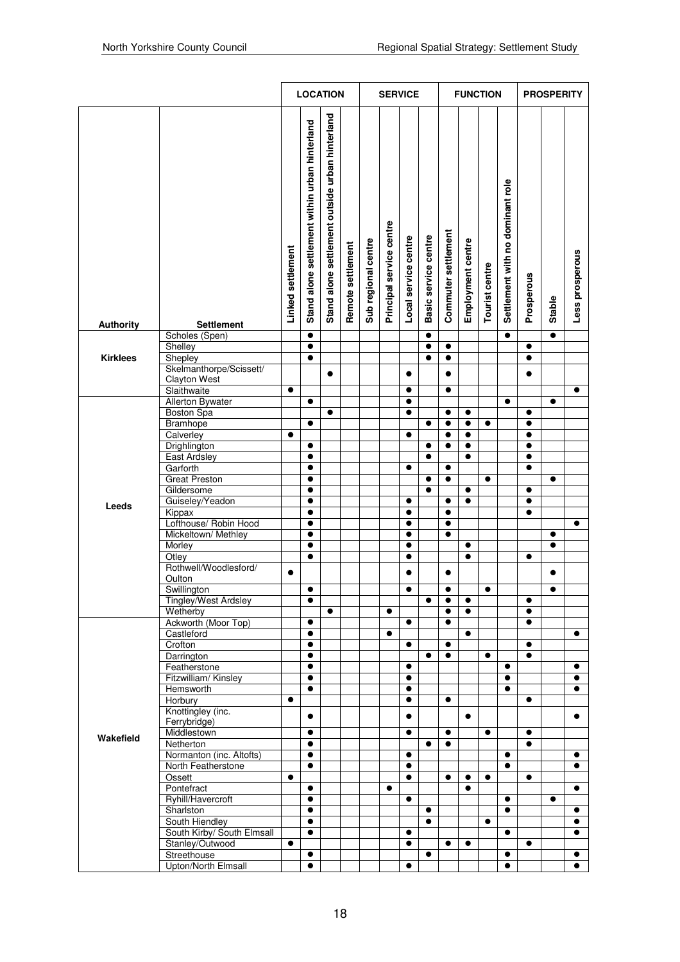|                  |                                    |                   | <b>LOCATION</b>                                |                                                 |                   |                     |                          | <b>SERVICE</b>         |                      |                     |                   | <b>FUNCTION</b> |                                  | <b>PROSPERITY</b> |                        |                 |
|------------------|------------------------------------|-------------------|------------------------------------------------|-------------------------------------------------|-------------------|---------------------|--------------------------|------------------------|----------------------|---------------------|-------------------|-----------------|----------------------------------|-------------------|------------------------|-----------------|
| <b>Authority</b> | Settlement                         | Linked settlement | Stand alone settlement within urban hinterland | Stand alone settlement outside urban hinterland | Remote settlement | Sub regional centre | Principal service centre | Local service centre   | Basic service centre | Commuter settlement | Employment centre | Tourist centre  | Settlement with no dominant role | Prosperous        | Stable                 | Less prosperous |
|                  | Scholes (Spen)                     |                   | $\bullet$                                      |                                                 |                   |                     |                          |                        | $\bullet$            |                     |                   |                 | $\bullet$                        |                   | $\bullet$              |                 |
|                  | Shelley                            |                   | $\bullet$                                      |                                                 |                   |                     |                          |                        | $\bullet$            | $\bullet$           |                   |                 |                                  | $\bullet$         |                        |                 |
| <b>Kirklees</b>  | Shepley<br>Skelmanthorpe/Scissett/ |                   | $\bullet$                                      |                                                 |                   |                     |                          |                        | $\bullet$            | $\bullet$           |                   |                 |                                  | $\bullet$         |                        |                 |
|                  | <b>Clayton West</b>                |                   |                                                | $\bullet$                                       |                   |                     |                          | $\bullet$              |                      | $\bullet$           |                   |                 |                                  | $\bullet$         |                        |                 |
|                  | Slaithwaite                        | $\bullet$         |                                                |                                                 |                   |                     |                          | $\bullet$              |                      | $\bullet$           |                   |                 |                                  |                   |                        | $\bullet$       |
|                  | Allerton Bywater                   |                   | $\bullet$                                      |                                                 |                   |                     |                          | $\bullet$              |                      |                     |                   |                 | $\bullet$                        |                   | $\bullet$              |                 |
|                  | <b>Boston Spa</b>                  |                   |                                                | $\bullet$                                       |                   |                     |                          | $\bullet$              |                      | $\bullet$           | $\bullet$         |                 |                                  | $\bullet$         |                        |                 |
|                  | <b>Bramhope</b>                    |                   | $\bullet$                                      |                                                 |                   |                     |                          |                        | $\bullet$            | $\bullet$           | $\bullet$         | $\bullet$       |                                  | $\bullet$         |                        |                 |
|                  | Calverley                          | $\bullet$         |                                                |                                                 |                   |                     |                          | $\bullet$              |                      | $\bullet$           | $\bullet$         |                 |                                  | $\bullet$         |                        |                 |
|                  | Drighlington                       |                   | $\bullet$                                      |                                                 |                   |                     |                          |                        | $\bullet$            | $\bullet$           | $\bullet$         |                 |                                  | $\bullet$         |                        |                 |
|                  | <b>East Ardsley</b>                |                   | $\bullet$                                      |                                                 |                   |                     |                          |                        | $\bullet$            |                     | $\bullet$         |                 |                                  | $\bullet$         |                        |                 |
|                  | Garforth                           |                   | $\bullet$                                      |                                                 |                   |                     |                          | $\bullet$              |                      | $\bullet$           |                   |                 |                                  | $\bullet$         |                        |                 |
|                  | <b>Great Preston</b>               |                   | $\bullet$                                      |                                                 |                   |                     |                          |                        | $\bullet$            | $\bullet$           |                   | $\bullet$       |                                  |                   | $\bullet$              |                 |
|                  | Gildersome                         |                   | $\bullet$                                      |                                                 |                   |                     |                          |                        | $\bullet$            |                     | $\bullet$         |                 |                                  | $\bullet$         |                        |                 |
| Leeds            | Guiseley/Yeadon                    |                   | $\bullet$                                      |                                                 |                   |                     |                          | $\bullet$              |                      | $\bullet$           | $\bullet$         |                 |                                  | $\bullet$         |                        |                 |
|                  | Kippax                             |                   | $\bullet$                                      |                                                 |                   |                     |                          | $\bullet$              |                      | $\bullet$           |                   |                 |                                  | $\bullet$         |                        |                 |
|                  | Lofthouse/ Robin Hood              |                   | $\bullet$                                      |                                                 |                   |                     |                          | $\bullet$              |                      | $\bullet$           |                   |                 |                                  |                   |                        | $\bullet$       |
|                  | Mickeltown/ Methley                |                   | $\bullet$<br>$\bullet$                         |                                                 |                   |                     |                          | $\bullet$<br>$\bullet$ |                      | $\bullet$           | $\bullet$         |                 |                                  |                   | $\bullet$<br>$\bullet$ |                 |
|                  | Morley<br>Otley                    |                   | $\bullet$                                      |                                                 |                   |                     |                          | $\bullet$              |                      |                     | $\bullet$         |                 |                                  | $\bullet$         |                        |                 |
|                  | Rothwell/Woodlesford/              |                   |                                                |                                                 |                   |                     |                          |                        |                      |                     |                   |                 |                                  |                   |                        |                 |
|                  | Oulton                             | $\bullet$         |                                                |                                                 |                   |                     |                          | $\bullet$              |                      | $\bullet$           |                   |                 |                                  |                   | $\bullet$              |                 |
|                  | Swillington                        |                   | $\bullet$                                      |                                                 |                   |                     |                          | $\bullet$              |                      | $\bullet$           |                   | $\bullet$       |                                  |                   | $\bullet$              |                 |
|                  | Tingley/West Ardsley               |                   | $\bullet$                                      |                                                 |                   |                     |                          |                        | $\bullet$            | $\bullet$           | $\bullet$         |                 |                                  | $\bullet$         |                        |                 |
|                  | Wetherby                           |                   |                                                | $\bullet$                                       |                   |                     | $\bullet$                |                        |                      | $\bullet$           | $\bullet$         |                 |                                  | $\bullet$         |                        |                 |
|                  | Ackworth (Moor Top)                |                   | $\bullet$                                      |                                                 |                   |                     |                          | $\bullet$              |                      | $\bullet$           |                   |                 |                                  | $\bullet$         |                        |                 |
|                  | Castleford                         |                   | $\bullet$                                      |                                                 |                   |                     | $\bullet$                |                        |                      |                     | $\bullet$         |                 |                                  |                   |                        | $\bullet$       |
|                  | Crofton                            |                   | $\bullet$                                      |                                                 |                   |                     |                          | $\bullet$              |                      | $\bullet$           |                   |                 |                                  | $\bullet$         |                        |                 |
|                  | Darrington                         |                   | $\bullet$                                      |                                                 |                   |                     |                          |                        | $\bullet$            | $\bullet$           |                   | $\bullet$       |                                  | $\bullet$         |                        |                 |
|                  | Featherstone                       |                   | $\bullet$                                      |                                                 |                   |                     |                          | $\bullet$              |                      |                     |                   |                 | $\bullet$                        |                   |                        | $\bullet$       |
|                  | Fitzwilliam/Kinsley                |                   | $\bullet$                                      |                                                 |                   |                     |                          | $\bullet$              |                      |                     |                   |                 | $\bullet$                        |                   |                        | $\bullet$       |
|                  | Hemsworth                          |                   | $\bullet$                                      |                                                 |                   |                     |                          | $\bullet$              |                      |                     |                   |                 | $\bullet$                        |                   |                        | $\bullet$       |
|                  | Horbury                            | $\bullet$         |                                                |                                                 |                   |                     |                          | $\bullet$              |                      | $\bullet$           |                   |                 |                                  | $\bullet$         |                        |                 |
|                  | Knottingley (inc.<br>Ferrybridge)  |                   | $\bullet$                                      |                                                 |                   |                     |                          | $\bullet$              |                      |                     | $\bullet$         |                 |                                  |                   |                        | $\bullet$       |
|                  | Middlestown                        |                   | $\bullet$                                      |                                                 |                   |                     |                          | $\bullet$              |                      | $\bullet$           |                   | $\bullet$       |                                  | $\bullet$         |                        |                 |
| Wakefield        | Netherton                          |                   | $\bullet$                                      |                                                 |                   |                     |                          |                        | $\bullet$            | $\bullet$           |                   |                 |                                  | $\bullet$         |                        |                 |
|                  | Normanton (inc. Altofts)           |                   | $\bullet$                                      |                                                 |                   |                     |                          | $\bullet$              |                      |                     |                   |                 | $\bullet$                        |                   |                        | $\bullet$       |
|                  | North Featherstone                 |                   | $\bullet$                                      |                                                 |                   |                     |                          | $\bullet$              |                      |                     |                   |                 | $\bullet$                        |                   |                        | $\bullet$       |
|                  | Ossett                             | $\bullet$         |                                                |                                                 |                   |                     |                          | $\bullet$              |                      | $\bullet$           | $\bullet$         | $\bullet$       |                                  | $\bullet$         |                        |                 |
|                  | Pontefract                         |                   | $\bullet$                                      |                                                 |                   |                     | $\bullet$                |                        |                      |                     | $\bullet$         |                 |                                  |                   |                        | $\bullet$       |
|                  | Ryhill/Havercroft                  |                   | $\bullet$                                      |                                                 |                   |                     |                          | $\bullet$              |                      |                     |                   |                 | $\bullet$                        |                   | $\bullet$              |                 |
|                  | Sharlston                          |                   | $\bullet$                                      |                                                 |                   |                     |                          |                        | $\bullet$            |                     |                   |                 | $\bullet$                        |                   |                        | $\bullet$       |
|                  | South Hiendley                     |                   | $\bullet$                                      |                                                 |                   |                     |                          |                        | $\bullet$            |                     |                   | $\bullet$       |                                  |                   |                        | $\bullet$       |
|                  | South Kirby/ South Elmsall         |                   | $\bullet$                                      |                                                 |                   |                     |                          | $\bullet$              |                      |                     |                   |                 | $\bullet$                        |                   |                        | $\bullet$       |
|                  | Stanley/Outwood                    | $\bullet$         |                                                |                                                 |                   |                     |                          | $\bullet$              |                      | $\bullet$           | $\bullet$         |                 |                                  | $\bullet$         |                        |                 |
|                  | Streethouse                        |                   | $\bullet$                                      |                                                 |                   |                     |                          |                        | $\bullet$            |                     |                   |                 | $\bullet$                        |                   |                        | $\bullet$       |
|                  | Upton/North Elmsall                |                   | $\bullet$                                      |                                                 |                   |                     |                          | $\bullet$              |                      |                     |                   |                 | $\bullet$                        |                   |                        | $\bullet$       |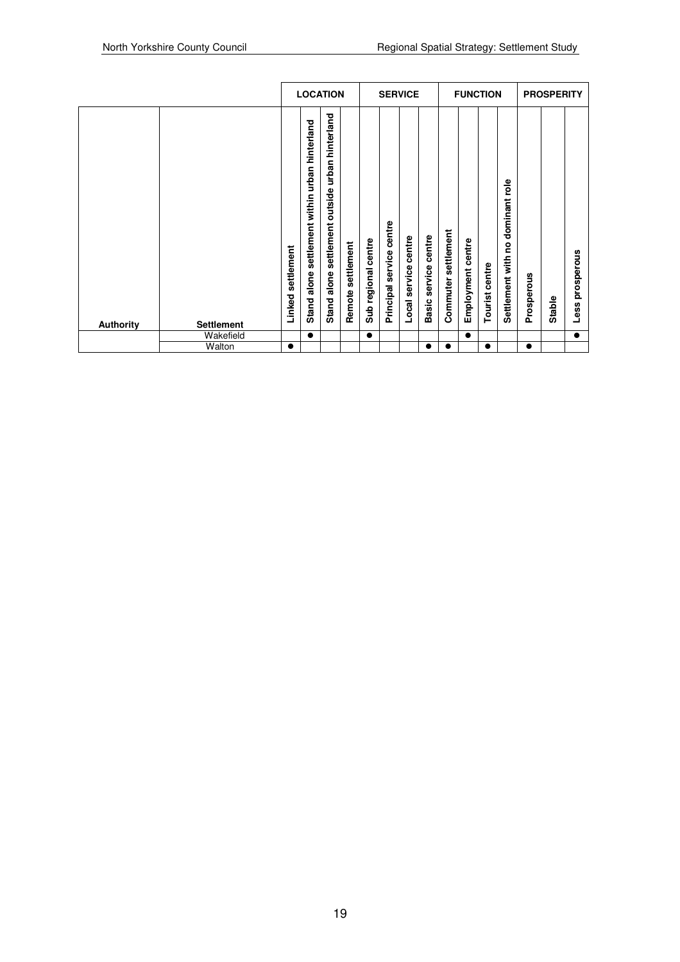|                  |                   |                      | <b>LOCATION</b>                                                     |                                                                |                      | <b>SERVICE</b>                   |                                |                            |                                   |                        |                                   | <b>FUNCTION</b>   | <b>PROSPERITY</b>                                    |            |        |                                 |
|------------------|-------------------|----------------------|---------------------------------------------------------------------|----------------------------------------------------------------|----------------------|----------------------------------|--------------------------------|----------------------------|-----------------------------------|------------------------|-----------------------------------|-------------------|------------------------------------------------------|------------|--------|---------------------------------|
| <b>Authority</b> | <b>Settlement</b> | settlement<br>Linked | settlement within urban hinterland<br>alone<br>Stand a<br>$\bullet$ | hinterland<br>urban<br>outside<br>settlement<br>alone<br>Stand | settlement<br>Remote | centre<br>regional<br><b>Sub</b> | centre<br>service<br>Principal | centre<br>service<br>Local | centre<br>service<br><b>Basic</b> | settlement<br>Commuter | centre<br>Employment<br>$\bullet$ | centre<br>Tourist | <u>e</u><br>dominant<br>۰<br>c<br>with<br>Settlement | Prosperous | Stable | prosperous<br>Less<br>$\bullet$ |
|                  | Wakefield         |                      |                                                                     |                                                                |                      | $\bullet$                        |                                |                            |                                   |                        |                                   |                   |                                                      |            |        |                                 |
|                  | Walton            |                      |                                                                     |                                                                |                      |                                  |                                |                            |                                   |                        |                                   | $\bullet$         |                                                      | $\bullet$  |        |                                 |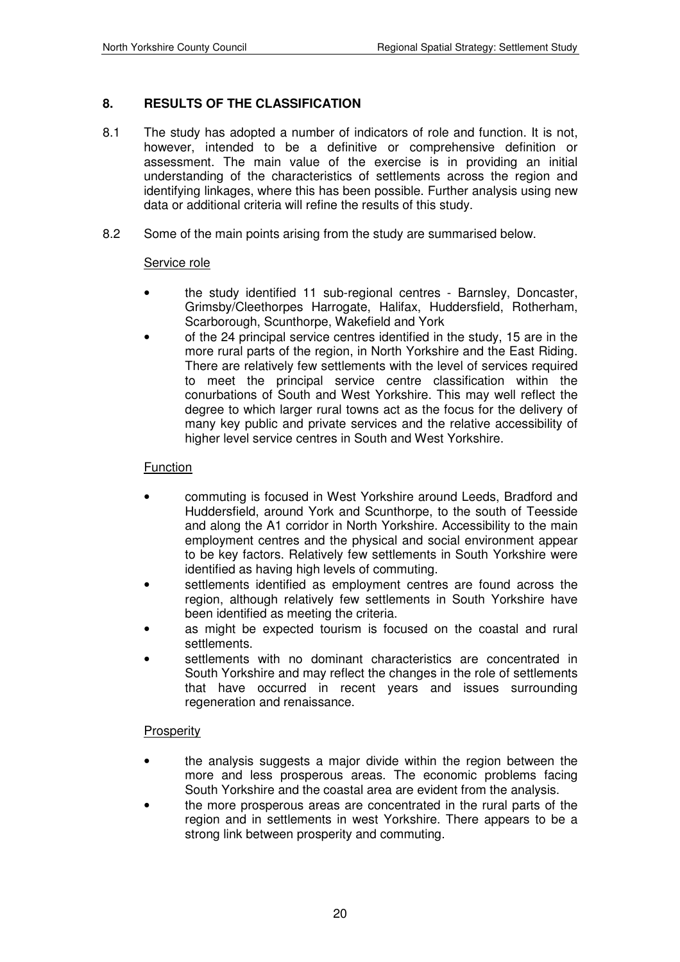### **8. RESULTS OF THE CLASSIFICATION**

- 8.1 The study has adopted a number of indicators of role and function. It is not, however, intended to be a definitive or comprehensive definition or assessment. The main value of the exercise is in providing an initial understanding of the characteristics of settlements across the region and identifying linkages, where this has been possible. Further analysis using new data or additional criteria will refine the results of this study.
- 8.2 Some of the main points arising from the study are summarised below.

#### Service role

- the study identified 11 sub-regional centres Barnsley, Doncaster, Grimsby/Cleethorpes Harrogate, Halifax, Huddersfield, Rotherham, Scarborough, Scunthorpe, Wakefield and York
- of the 24 principal service centres identified in the study, 15 are in the more rural parts of the region, in North Yorkshire and the East Riding. There are relatively few settlements with the level of services required to meet the principal service centre classification within the conurbations of South and West Yorkshire. This may well reflect the degree to which larger rural towns act as the focus for the delivery of many key public and private services and the relative accessibility of higher level service centres in South and West Yorkshire.

#### Function

- commuting is focused in West Yorkshire around Leeds, Bradford and Huddersfield, around York and Scunthorpe, to the south of Teesside and along the A1 corridor in North Yorkshire. Accessibility to the main employment centres and the physical and social environment appear to be key factors. Relatively few settlements in South Yorkshire were identified as having high levels of commuting.
- settlements identified as employment centres are found across the region, although relatively few settlements in South Yorkshire have been identified as meeting the criteria.
- as might be expected tourism is focused on the coastal and rural settlements.
- settlements with no dominant characteristics are concentrated in South Yorkshire and may reflect the changes in the role of settlements that have occurred in recent years and issues surrounding regeneration and renaissance.

#### **Prosperity**

- the analysis suggests a major divide within the region between the more and less prosperous areas. The economic problems facing South Yorkshire and the coastal area are evident from the analysis.
- the more prosperous areas are concentrated in the rural parts of the region and in settlements in west Yorkshire. There appears to be a strong link between prosperity and commuting.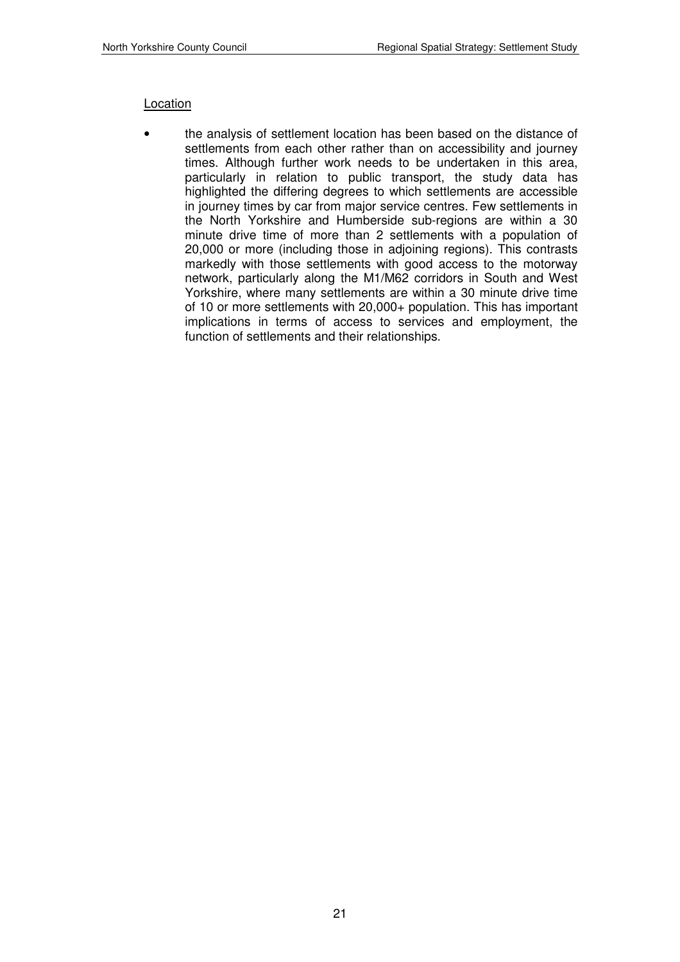### Location

• the analysis of settlement location has been based on the distance of settlements from each other rather than on accessibility and journey times. Although further work needs to be undertaken in this area, particularly in relation to public transport, the study data has highlighted the differing degrees to which settlements are accessible in journey times by car from major service centres. Few settlements in the North Yorkshire and Humberside sub-regions are within a 30 minute drive time of more than 2 settlements with a population of 20,000 or more (including those in adjoining regions). This contrasts markedly with those settlements with good access to the motorway network, particularly along the M1/M62 corridors in South and West Yorkshire, where many settlements are within a 30 minute drive time of 10 or more settlements with 20,000+ population. This has important implications in terms of access to services and employment, the function of settlements and their relationships.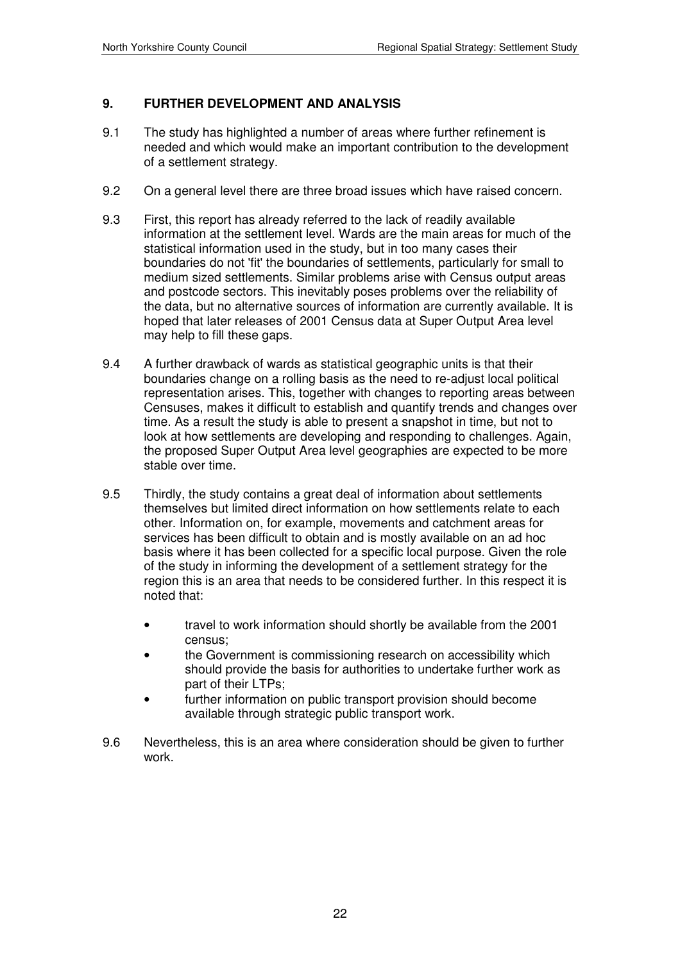### **9. FURTHER DEVELOPMENT AND ANALYSIS**

- 9.1 The study has highlighted a number of areas where further refinement is needed and which would make an important contribution to the development of a settlement strategy.
- 9.2 On a general level there are three broad issues which have raised concern.
- 9.3 First, this report has already referred to the lack of readily available information at the settlement level. Wards are the main areas for much of the statistical information used in the study, but in too many cases their boundaries do not 'fit' the boundaries of settlements, particularly for small to medium sized settlements. Similar problems arise with Census output areas and postcode sectors. This inevitably poses problems over the reliability of the data, but no alternative sources of information are currently available. It is hoped that later releases of 2001 Census data at Super Output Area level may help to fill these gaps.
- 9.4 A further drawback of wards as statistical geographic units is that their boundaries change on a rolling basis as the need to re-adjust local political representation arises. This, together with changes to reporting areas between Censuses, makes it difficult to establish and quantify trends and changes over time. As a result the study is able to present a snapshot in time, but not to look at how settlements are developing and responding to challenges. Again, the proposed Super Output Area level geographies are expected to be more stable over time.
- 9.5 Thirdly, the study contains a great deal of information about settlements themselves but limited direct information on how settlements relate to each other. Information on, for example, movements and catchment areas for services has been difficult to obtain and is mostly available on an ad hoc basis where it has been collected for a specific local purpose. Given the role of the study in informing the development of a settlement strategy for the region this is an area that needs to be considered further. In this respect it is noted that:
	- travel to work information should shortly be available from the 2001 census;
	- the Government is commissioning research on accessibility which should provide the basis for authorities to undertake further work as part of their LTPs;
	- further information on public transport provision should become available through strategic public transport work.
- 9.6 Nevertheless, this is an area where consideration should be given to further work.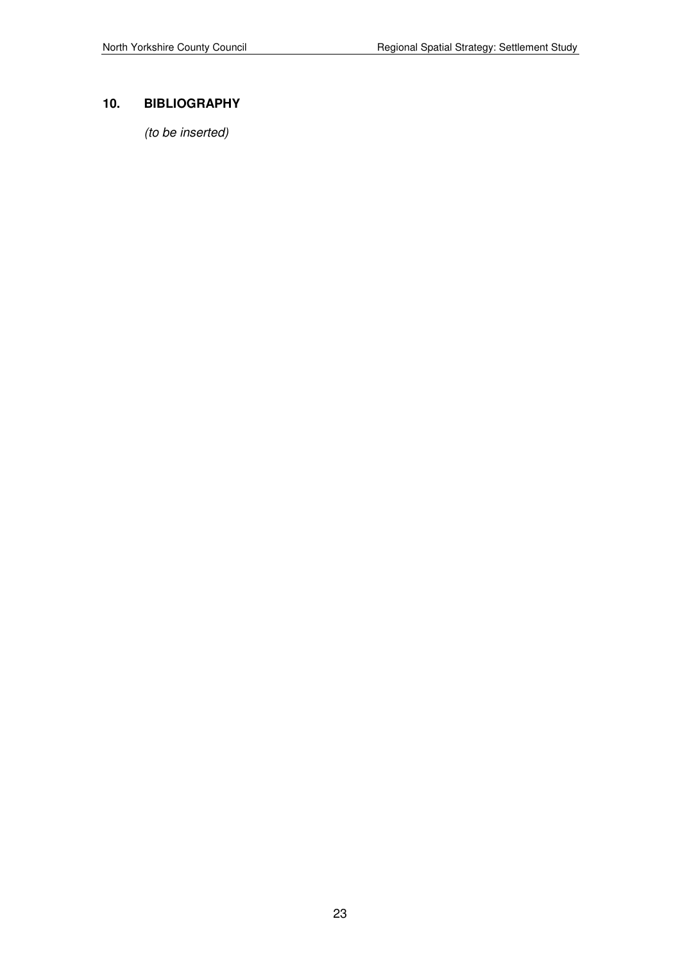## **10. BIBLIOGRAPHY**

(to be inserted)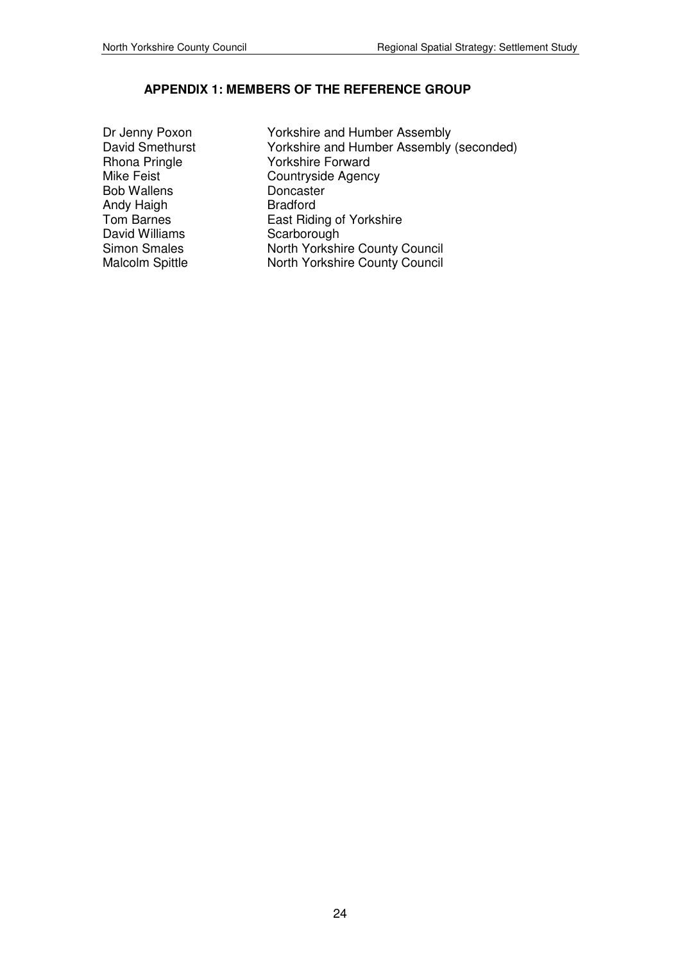## **APPENDIX 1: MEMBERS OF THE REFERENCE GROUP**

- Bob Wallens<br>
Andy Haigh Manus Bradford Andy Haigh<br>Tom Barnes David Williams<br>
Simon Smales<br>
North Yorkshi
- Dr Jenny Poxon Yorkshire and Humber Assembly<br>David Smethurst Yorkshire and Humber Assembly David Smethurst Yorkshire and Humber Assembly (seconded)<br>
Rhona Pringle Yorkshire Forward Yorkshire Forward Mike Feist Countryside Agency<br>Bob Wallens Doncaster Tom Barnes<br>
David Williams<br>
Carborough<br>
Scarborough Simon Smales North Yorkshire County Council<br>Malcolm Spittle North Yorkshire County Council North Yorkshire County Council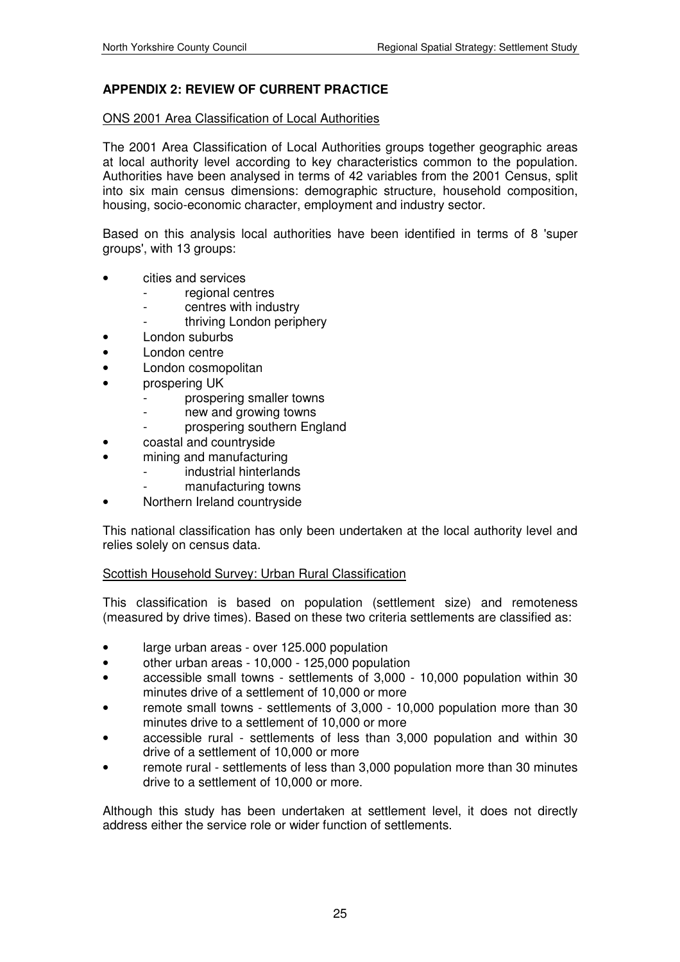## **APPENDIX 2: REVIEW OF CURRENT PRACTICE**

#### ONS 2001 Area Classification of Local Authorities

The 2001 Area Classification of Local Authorities groups together geographic areas at local authority level according to key characteristics common to the population. Authorities have been analysed in terms of 42 variables from the 2001 Census, split into six main census dimensions: demographic structure, household composition, housing, socio-economic character, employment and industry sector.

Based on this analysis local authorities have been identified in terms of 8 'super groups', with 13 groups:

- cities and services
	- regional centres
	- centres with industry
		- thriving London periphery
- London suburbs
- London centre
- London cosmopolitan
- prospering UK
	- prospering smaller towns
	- new and growing towns
	- prospering southern England
- coastal and countryside
- mining and manufacturing
	- industrial hinterlands
	- manufacturing towns
- Northern Ireland countryside

This national classification has only been undertaken at the local authority level and relies solely on census data.

#### Scottish Household Survey: Urban Rural Classification

This classification is based on population (settlement size) and remoteness (measured by drive times). Based on these two criteria settlements are classified as:

- large urban areas over 125.000 population
- other urban areas 10,000 125,000 population
- accessible small towns settlements of 3,000 10,000 population within 30 minutes drive of a settlement of 10,000 or more
- remote small towns settlements of 3,000 10,000 population more than 30 minutes drive to a settlement of 10,000 or more
- accessible rural settlements of less than 3,000 population and within 30 drive of a settlement of 10,000 or more
- remote rural settlements of less than 3,000 population more than 30 minutes drive to a settlement of 10,000 or more.

Although this study has been undertaken at settlement level, it does not directly address either the service role or wider function of settlements.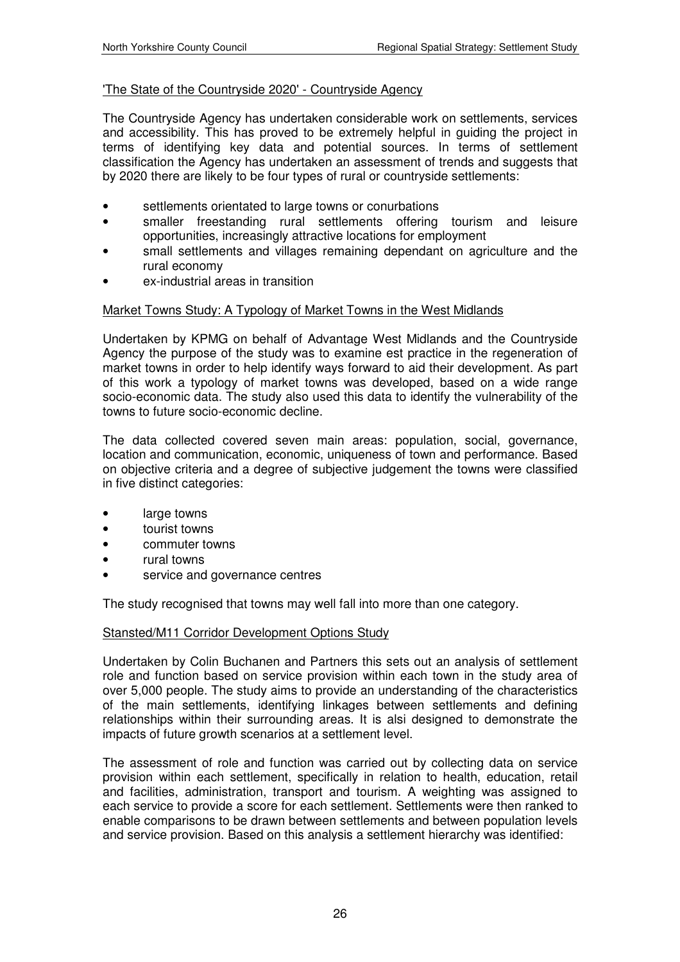#### 'The State of the Countryside 2020' - Countryside Agency

The Countryside Agency has undertaken considerable work on settlements, services and accessibility. This has proved to be extremely helpful in guiding the project in terms of identifying key data and potential sources. In terms of settlement classification the Agency has undertaken an assessment of trends and suggests that by 2020 there are likely to be four types of rural or countryside settlements:

- settlements orientated to large towns or conurbations
- smaller freestanding rural settlements offering tourism and leisure opportunities, increasingly attractive locations for employment
- small settlements and villages remaining dependant on agriculture and the rural economy
- ex-industrial areas in transition

#### Market Towns Study: A Typology of Market Towns in the West Midlands

Undertaken by KPMG on behalf of Advantage West Midlands and the Countryside Agency the purpose of the study was to examine est practice in the regeneration of market towns in order to help identify ways forward to aid their development. As part of this work a typology of market towns was developed, based on a wide range socio-economic data. The study also used this data to identify the vulnerability of the towns to future socio-economic decline.

The data collected covered seven main areas: population, social, governance, location and communication, economic, uniqueness of town and performance. Based on objective criteria and a degree of subjective judgement the towns were classified in five distinct categories:

- large towns
- tourist towns
- commuter towns
- rural towns
- service and governance centres

The study recognised that towns may well fall into more than one category.

#### Stansted/M11 Corridor Development Options Study

Undertaken by Colin Buchanen and Partners this sets out an analysis of settlement role and function based on service provision within each town in the study area of over 5,000 people. The study aims to provide an understanding of the characteristics of the main settlements, identifying linkages between settlements and defining relationships within their surrounding areas. It is alsi designed to demonstrate the impacts of future growth scenarios at a settlement level.

The assessment of role and function was carried out by collecting data on service provision within each settlement, specifically in relation to health, education, retail and facilities, administration, transport and tourism. A weighting was assigned to each service to provide a score for each settlement. Settlements were then ranked to enable comparisons to be drawn between settlements and between population levels and service provision. Based on this analysis a settlement hierarchy was identified: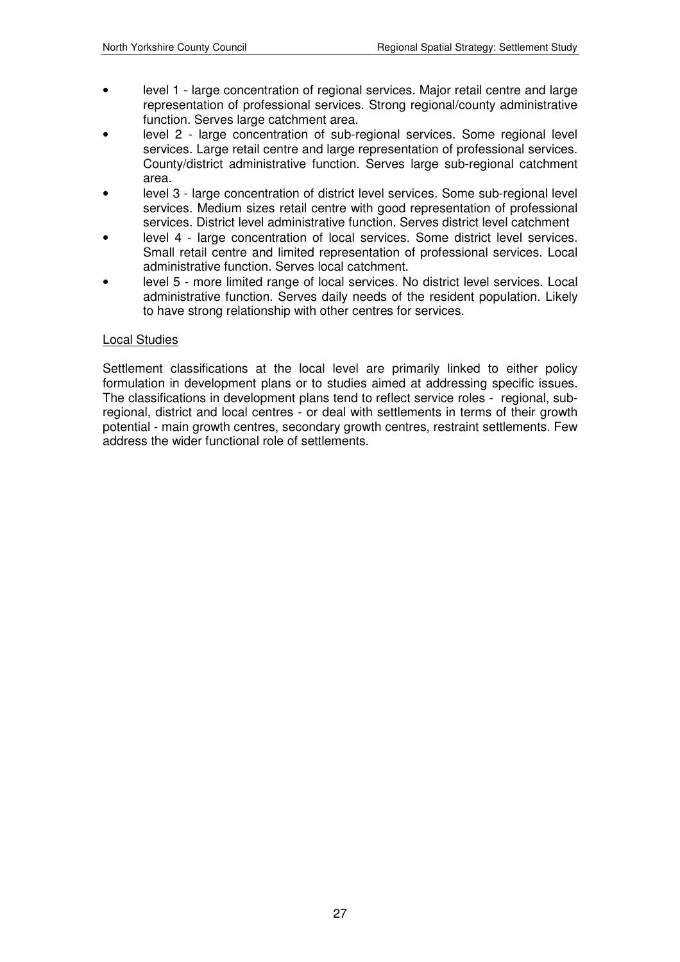- level 1 large concentration of regional services. Major retail centre and large representation of professional services. Strong regional/county administrative function. Serves large catchment area.
- level 2 large concentration of sub-regional services. Some regional level services. Large retail centre and large representation of professional services. County/district administrative function. Serves large sub-regional catchment area.
- level 3 large concentration of district level services. Some sub-regional level services. Medium sizes retail centre with good representation of professional services. District level administrative function. Serves district level catchment
- level 4 large concentration of local services. Some district level services. Small retail centre and limited representation of professional services. Local administrative function. Serves local catchment.
- level 5 more limited range of local services. No district level services. Local administrative function. Serves daily needs of the resident population. Likely to have strong relationship with other centres for services.

#### Local Studies

Settlement classifications at the local level are primarily linked to either policy formulation in development plans or to studies aimed at addressing specific issues. The classifications in development plans tend to reflect service roles - regional, subregional, district and local centres - or deal with settlements in terms of their growth potential - main growth centres, secondary growth centres, restraint settlements. Few address the wider functional role of settlements.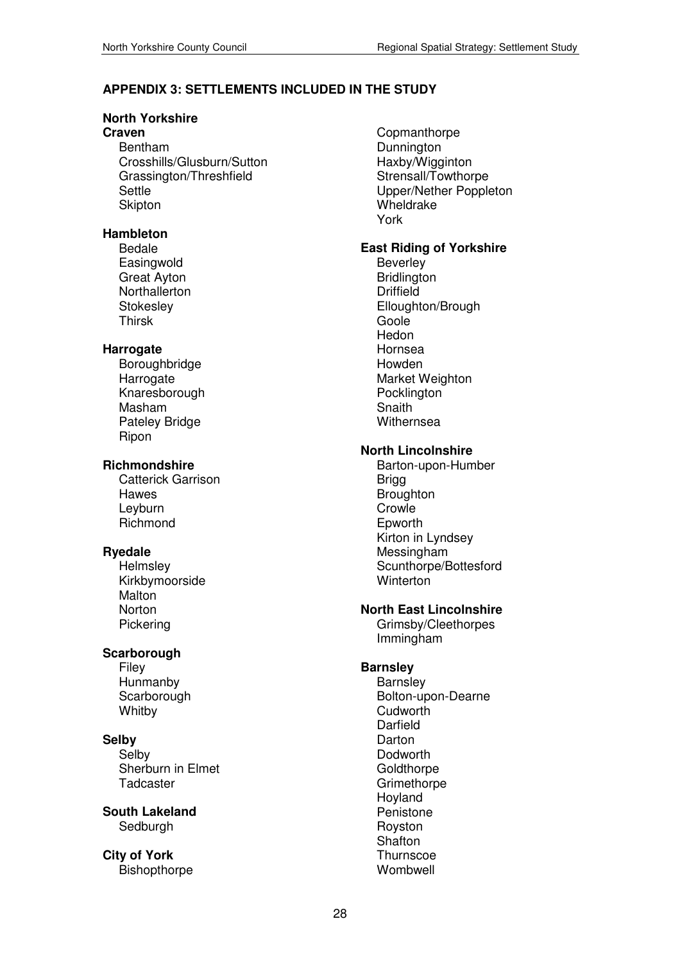### **APPENDIX 3: SETTLEMENTS INCLUDED IN THE STUDY**

#### **North Yorkshire**

## **Craven**

Bentham Crosshills/Glusburn/Sutton Grassington/Threshfield Settle Skipton

#### **Hambleton**

Bedale **Easingwold** Great Ayton **Northallerton Stokesley** Thirsk

#### **Harrogate**

Boroughbridge **Harrogate** Knaresborough Masham Pateley Bridge Ripon

#### **Richmondshire**

Catterick Garrison Hawes Leyburn Richmond

#### **Ryedale**

**Helmsley** Kirkbymoorside **Malton** Norton Pickering

#### **Scarborough**

Filey **Hunmanby Scarborough Whitby** 

### **Selby**

Selby Sherburn in Elmet **Tadcaster** 

**South Lakeland** Sedburgh

**City of York**  Bishopthorpe **Copmanthorpe Dunnington** Haxby/Wigginton Strensall/Towthorpe Upper/Nether Poppleton Wheldrake York

### **East Riding of Yorkshire**

Beverley **Bridlington Driffield** Elloughton/Brough Goole Hedon Hornsea Howden Market Weighton Pocklington **Snaith Withernsea** 

#### **North Lincolnshire**

Barton-upon-Humber Brigg **Broughton Crowle** Epworth Kirton in Lyndsey Messingham Scunthorpe/Bottesford Winterton

#### **North East Lincolnshire**

Grimsby/Cleethorpes Immingham

#### **Barnsley**

**Barnsley** Bolton-upon-Dearne Cudworth Darfield Darton Dodworth **Goldthorpe Grimethorpe** Hoyland Penistone Royston **Shafton Thurnscoe** Wombwell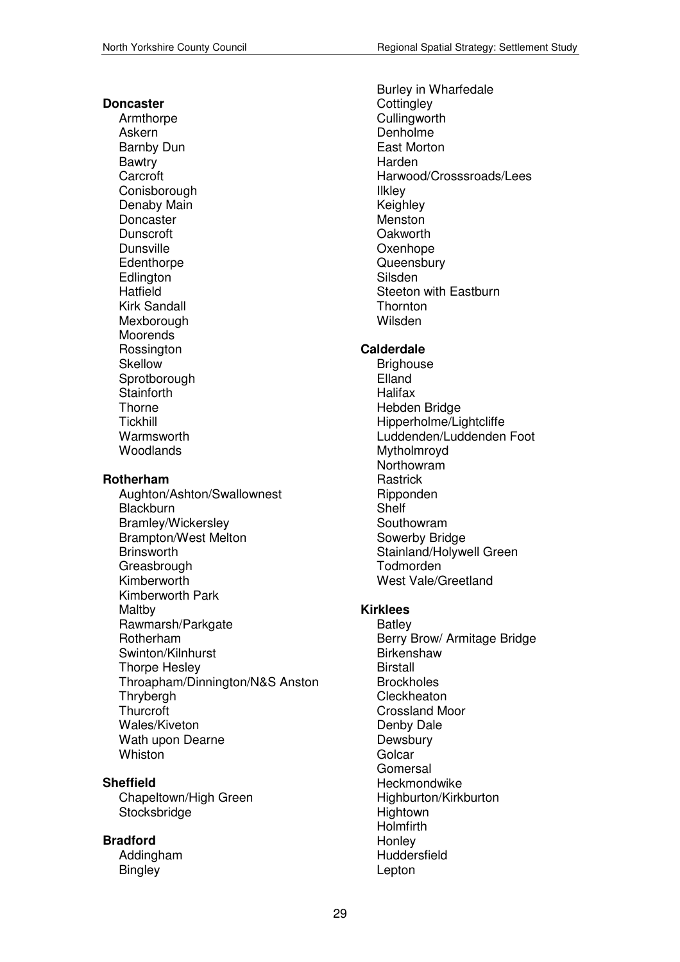#### **Doncaster**

Armthorpe Askern Barnby Dun Bawtry Carcroft **Conisborough** Denaby Main Doncaster Dunscroft Dunsville **Edenthorpe Edlington** Hatfield Kirk Sandall **Mexborough** Moorends **Rossington** Skellow **Sprotborough Stainforth Thorne Tickhill Warmsworth** Woodlands

#### **Rotherham**

Aughton/Ashton/Swallownest **Blackburn** Bramley/Wickersley Brampton/West Melton **Brinsworth Greasbrough** Kimberworth Kimberworth Park Maltby Rawmarsh/Parkgate Rotherham Swinton/Kilnhurst Thorpe Hesley Throapham/Dinnington/N&S Anston **Thrybergh Thurcroft** Wales/Kiveton Wath upon Dearne Whiston

#### **Sheffield**

Chapeltown/High Green Stocksbridge

#### **Bradford**

Addingham **Bingley** 

Burley in Wharfedale **Cottingley Cullingworth** Denholme East Morton Harden Harwood/Crosssroads/Lees Ilkley Keighley Menston **Oakworth Oxenhope Queensbury** Silsden Steeton with Eastburn **Thornton** Wilsden

#### **Calderdale**

**Brighouse** Elland **Halifax** Hebden Bridge Hipperholme/Lightcliffe Luddenden/Luddenden Foot Mytholmroyd Northowram **Rastrick** Ripponden Shelf Southowram Sowerby Bridge Stainland/Holywell Green Todmorden West Vale/Greetland

#### **Kirklees**

**Batley** Berry Brow/ Armitage Bridge **Birkenshaw Birstall Brockholes** Cleckheaton Crossland Moor Denby Dale **Dewsbury Golcar Gomersal** Heckmondwike Highburton/Kirkburton **Hightown** Holmfirth **Honley Huddersfield** Lepton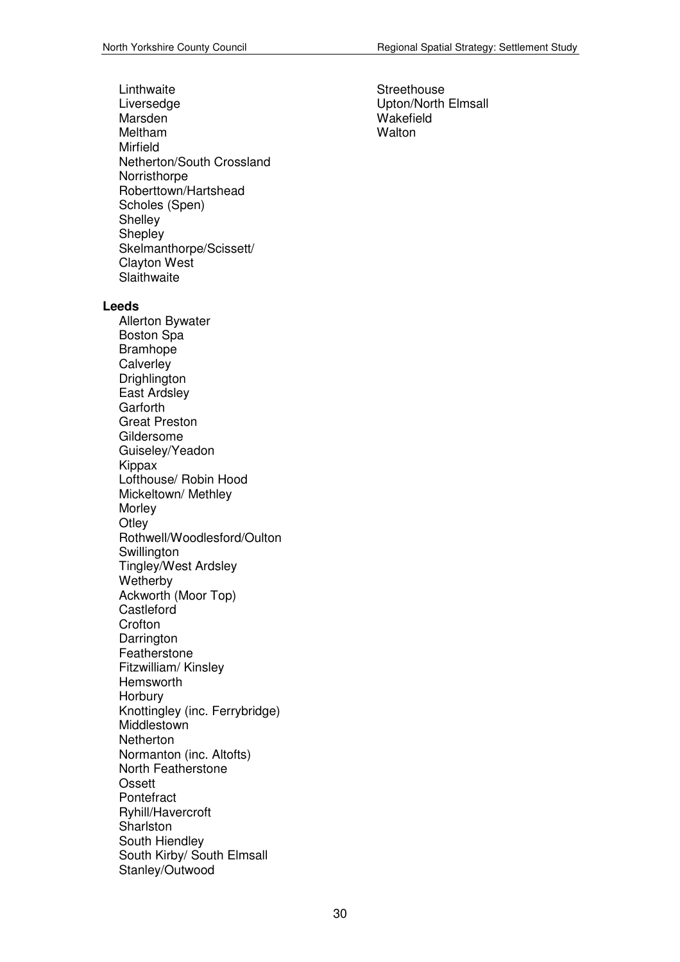Linthwaite Liversedge Marsden Meltham Mirfield Netherton/South Crossland **Norristhorpe** Roberttown/Hartshead Scholes (Spen) **Shelley Shepley** Skelmanthorpe/Scissett/ Clayton West **Slaithwaite Leeds**  Allerton Bywater Boston Spa Bramhope **Calverley** Drighlington East Ardsley **Garforth** Great Preston Gildersome Guiseley/Yeadon Kippax Lofthouse/ Robin Hood Mickeltown/ Methley **Morley Otley** Rothwell/Woodlesford/Oulton **Swillington** Tingley/West Ardsley **Wetherby** Ackworth (Moor Top) **Castleford Crofton** Darrington Featherstone Fitzwilliam/ Kinsley Hemsworth **Horbury** Knottingley (inc. Ferrybridge) Middlestown **Netherton** Normanton (inc. Altofts) North Featherstone

Ossett **Pontefract** 

**Sharlston** South Hiendley

Ryhill/Havercroft

Stanley/Outwood

South Kirby/ South Elmsall

**Streethouse** Upton/North Elmsall Wakefield **Walton**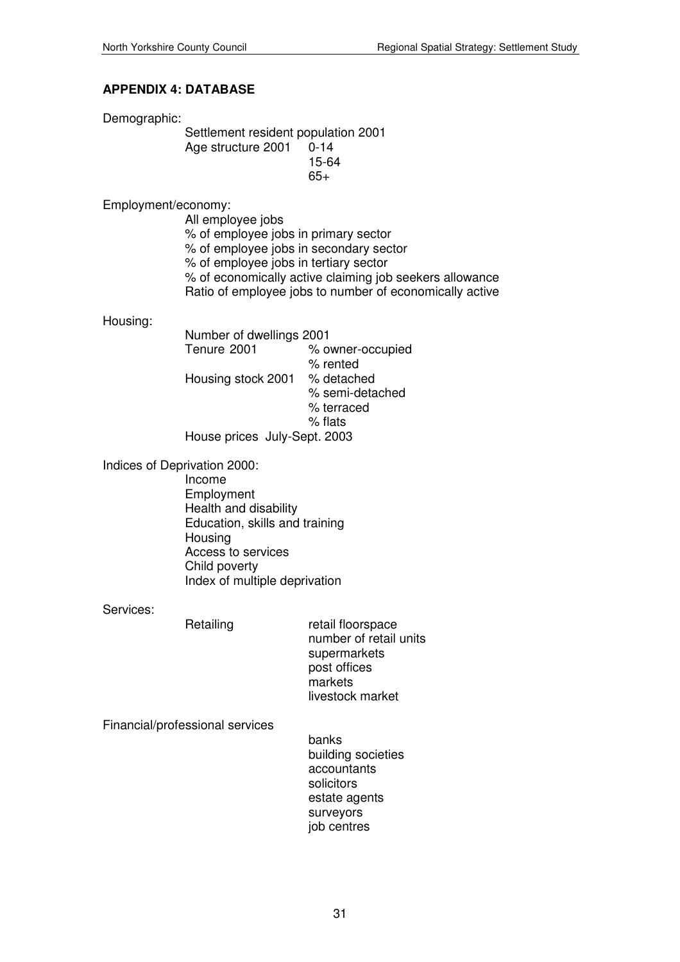### **APPENDIX 4: DATABASE**

Demographic:

Settlement resident population 2001 Age structure 2001 0-14 15-64  $65+$ 

Employment/economy:

 All employee jobs % of employee jobs in primary sector % of employee jobs in secondary sector % of employee jobs in tertiary sector % of economically active claiming job seekers allowance Ratio of employee jobs to number of economically active

Housing:

 Number of dwellings 2001 Tenure 2001 % owner-occupied % rented Housing stock 2001 % detached % semi-detached % terraced % flats House prices July-Sept. 2003

Indices of Deprivation 2000:

 Income Employment Health and disability Education, skills and training **Housing**  Access to services Child poverty Index of multiple deprivation

Services:

Retailing retail floorspace number of retail units supermarkets post offices markets livestock market

Financial/professional services

 banks building societies accountants solicitors estate agents surveyors job centres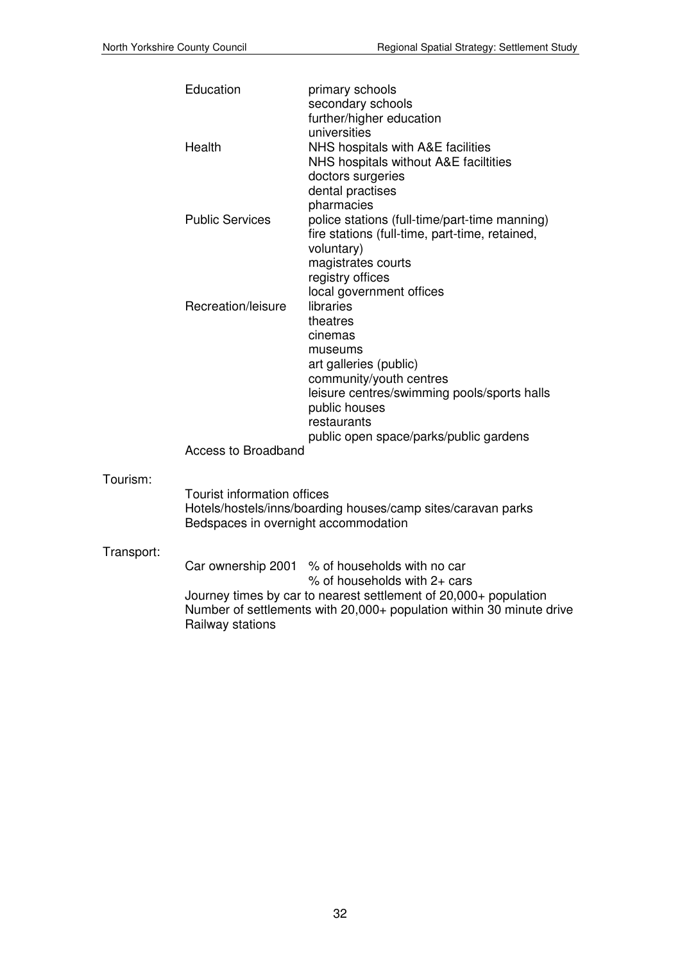|            | Education                                                                  | primary schools<br>secondary schools<br>further/higher education<br>universities                                                                                                                                                                      |
|------------|----------------------------------------------------------------------------|-------------------------------------------------------------------------------------------------------------------------------------------------------------------------------------------------------------------------------------------------------|
|            | Health                                                                     | NHS hospitals with A&E facilities<br>NHS hospitals without A&E faciltities<br>doctors surgeries<br>dental practises<br>pharmacies                                                                                                                     |
|            | <b>Public Services</b>                                                     | police stations (full-time/part-time manning)<br>fire stations (full-time, part-time, retained,<br>voluntary)<br>magistrates courts<br>registry offices                                                                                               |
|            | Recreation/leisure                                                         | local government offices<br>libraries<br>theatres<br>cinemas<br>museums<br>art galleries (public)<br>community/youth centres<br>leisure centres/swimming pools/sports halls<br>public houses<br>restaurants<br>public open space/parks/public gardens |
|            | <b>Access to Broadband</b>                                                 |                                                                                                                                                                                                                                                       |
| Tourism:   | <b>Tourist information offices</b><br>Bedspaces in overnight accommodation | Hotels/hostels/inns/boarding houses/camp sites/caravan parks                                                                                                                                                                                          |
| Transport: |                                                                            | Car ownership 2001 % of households with no car<br>% of households with $2+$ cars<br>Journey times by car to nearest settlement of 20,000+ population                                                                                                  |
|            | Railway stations                                                           | Number of settlements with 20,000+ population within 30 minute drive                                                                                                                                                                                  |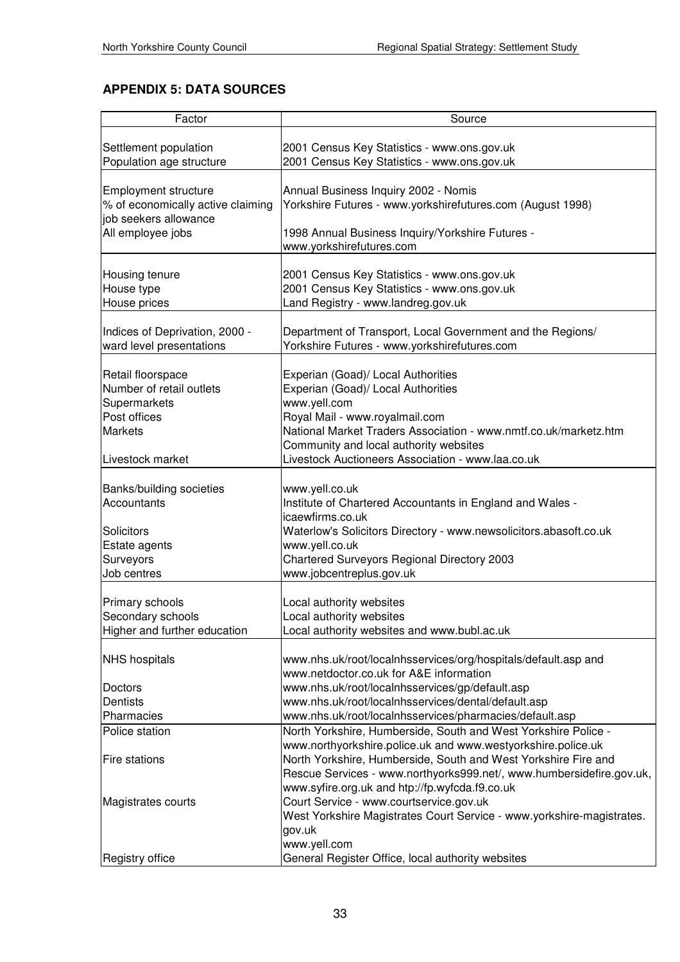# **APPENDIX 5: DATA SOURCES**

| Factor                            | Source                                                                |
|-----------------------------------|-----------------------------------------------------------------------|
|                                   |                                                                       |
| Settlement population             | 2001 Census Key Statistics - www.ons.gov.uk                           |
| Population age structure          | 2001 Census Key Statistics - www.ons.gov.uk                           |
|                                   |                                                                       |
| <b>Employment structure</b>       | Annual Business Inquiry 2002 - Nomis                                  |
| % of economically active claiming | Yorkshire Futures - www.yorkshirefutures.com (August 1998)            |
| job seekers allowance             |                                                                       |
| All employee jobs                 | 1998 Annual Business Inquiry/Yorkshire Futures -                      |
|                                   | www.yorkshirefutures.com                                              |
|                                   |                                                                       |
| Housing tenure                    | 2001 Census Key Statistics - www.ons.gov.uk                           |
| House type                        | 2001 Census Key Statistics - www.ons.gov.uk                           |
| House prices                      | Land Registry - www.landreg.gov.uk                                    |
|                                   |                                                                       |
|                                   |                                                                       |
| Indices of Deprivation, 2000 -    | Department of Transport, Local Government and the Regions/            |
| ward level presentations          | Yorkshire Futures - www.yorkshirefutures.com                          |
|                                   |                                                                       |
| Retail floorspace                 | Experian (Goad)/ Local Authorities                                    |
| Number of retail outlets          | Experian (Goad)/ Local Authorities                                    |
| Supermarkets                      | www.yell.com                                                          |
| Post offices                      | Royal Mail - www.royalmail.com                                        |
| <b>Markets</b>                    | National Market Traders Association - www.nmtf.co.uk/marketz.htm      |
|                                   | Community and local authority websites                                |
| Livestock market                  | Livestock Auctioneers Association - www.laa.co.uk                     |
|                                   |                                                                       |
| Banks/building societies          | www.yell.co.uk                                                        |
| Accountants                       | Institute of Chartered Accountants in England and Wales -             |
|                                   | icaewfirms.co.uk                                                      |
|                                   |                                                                       |
| <b>Solicitors</b>                 | Waterlow's Solicitors Directory - www.newsolicitors.abasoft.co.uk     |
| Estate agents                     | www.yell.co.uk                                                        |
| Surveyors                         | Chartered Surveyors Regional Directory 2003                           |
| Job centres                       | www.jobcentreplus.gov.uk                                              |
|                                   |                                                                       |
| Primary schools                   | Local authority websites                                              |
| Secondary schools                 | Local authority websites                                              |
| Higher and further education      | Local authority websites and www.bubl.ac.uk                           |
|                                   |                                                                       |
| <b>NHS</b> hospitals              | www.nhs.uk/root/localnhsservices/org/hospitals/default.asp and        |
|                                   | www.netdoctor.co.uk for A&E information                               |
| Doctors                           | www.nhs.uk/root/localnhsservices/gp/default.asp                       |
| <b>Dentists</b>                   | www.nhs.uk/root/localnhsservices/dental/default.asp                   |
| Pharmacies                        | www.nhs.uk/root/localnhsservices/pharmacies/default.asp               |
| Police station                    | North Yorkshire, Humberside, South and West Yorkshire Police -        |
|                                   |                                                                       |
|                                   | www.northyorkshire.police.uk and www.westyorkshire.police.uk          |
| <b>Fire stations</b>              | North Yorkshire, Humberside, South and West Yorkshire Fire and        |
|                                   | Rescue Services - www.northyorks999.net/, www.humbersidefire.gov.uk,  |
|                                   | www.syfire.org.uk and htp://fp.wyfcda.f9.co.uk                        |
| Magistrates courts                | Court Service - www.courtservice.gov.uk                               |
|                                   | West Yorkshire Magistrates Court Service - www.yorkshire-magistrates. |
|                                   | gov.uk                                                                |
|                                   | www.yell.com                                                          |
| Registry office                   | General Register Office, local authority websites                     |
|                                   |                                                                       |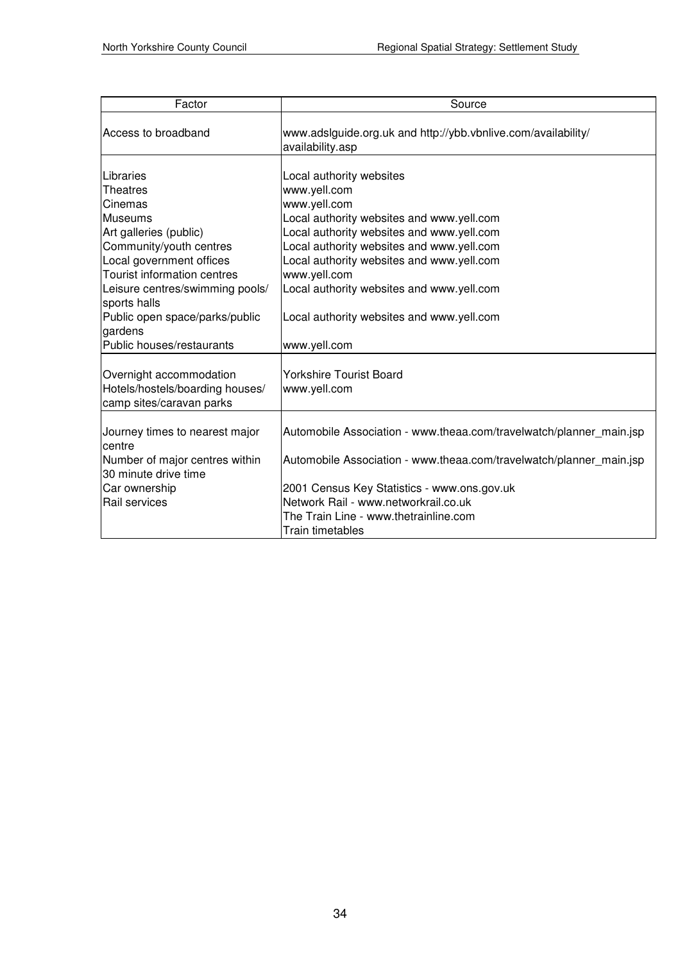| Factor                                                                                                                                                                                                                                                                                           | Source                                                                                                                                                                                                                                                                                                                                                 |
|--------------------------------------------------------------------------------------------------------------------------------------------------------------------------------------------------------------------------------------------------------------------------------------------------|--------------------------------------------------------------------------------------------------------------------------------------------------------------------------------------------------------------------------------------------------------------------------------------------------------------------------------------------------------|
| Access to broadband                                                                                                                                                                                                                                                                              | www.adsiguide.org.uk and http://ybb.vbnlive.com/availability/<br>availability.asp                                                                                                                                                                                                                                                                      |
| Libraries<br><b>Theatres</b><br>Cinemas<br>lMuseums<br>Art galleries (public)<br>Community/youth centres<br>Local government offices<br>Tourist information centres<br>Leisure centres/swimming pools/<br>sports halls<br>Public open space/parks/public<br>gardens<br>Public houses/restaurants | Local authority websites<br>www.yell.com<br>www.yell.com<br>Local authority websites and www.yell.com<br>Local authority websites and www.yell.com<br>Local authority websites and www.yell.com<br>Local authority websites and www.yell.com<br>www.yell.com<br>Local authority websites and www.yell.com<br>Local authority websites and www.yell.com |
| Overnight accommodation<br>Hotels/hostels/boarding houses/<br>camp sites/caravan parks                                                                                                                                                                                                           | www.yell.com<br>Yorkshire Tourist Board<br>www.yell.com                                                                                                                                                                                                                                                                                                |
| Journey times to nearest major<br>centre<br>Number of major centres within<br>30 minute drive time<br>Car ownership<br>Rail services                                                                                                                                                             | Automobile Association - www.theaa.com/travelwatch/planner_main.jsp<br>Automobile Association - www.theaa.com/travelwatch/planner_main.jsp<br>2001 Census Key Statistics - www.ons.gov.uk<br>Network Rail - www.networkrail.co.uk<br>The Train Line - www.thetrainline.com<br>Train timetables                                                         |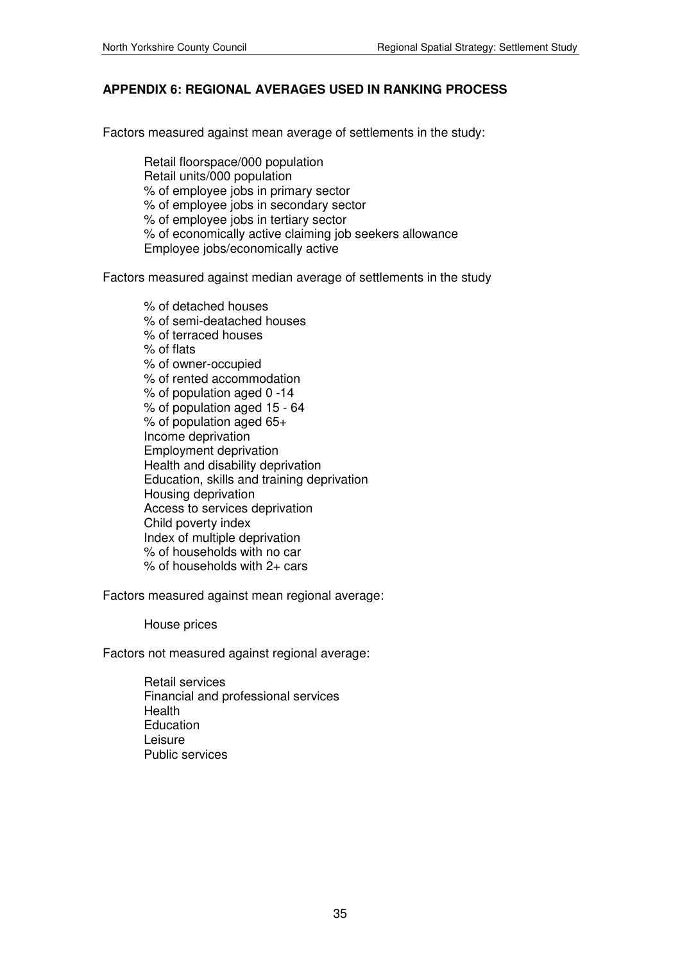## **APPENDIX 6: REGIONAL AVERAGES USED IN RANKING PROCESS**

Factors measured against mean average of settlements in the study:

 Retail floorspace/000 population Retail units/000 population % of employee jobs in primary sector % of employee jobs in secondary sector % of employee jobs in tertiary sector % of economically active claiming job seekers allowance Employee jobs/economically active

Factors measured against median average of settlements in the study

 % of detached houses % of semi-deatached houses % of terraced houses % of flats % of owner-occupied % of rented accommodation % of population aged 0 -14 % of population aged 15 - 64 % of population aged 65+ Income deprivation Employment deprivation Health and disability deprivation Education, skills and training deprivation Housing deprivation Access to services deprivation Child poverty index Index of multiple deprivation % of households with no car % of households with 2+ cars

Factors measured against mean regional average:

House prices

Factors not measured against regional average:

 Retail services Financial and professional services **Health Education** Leisure Public services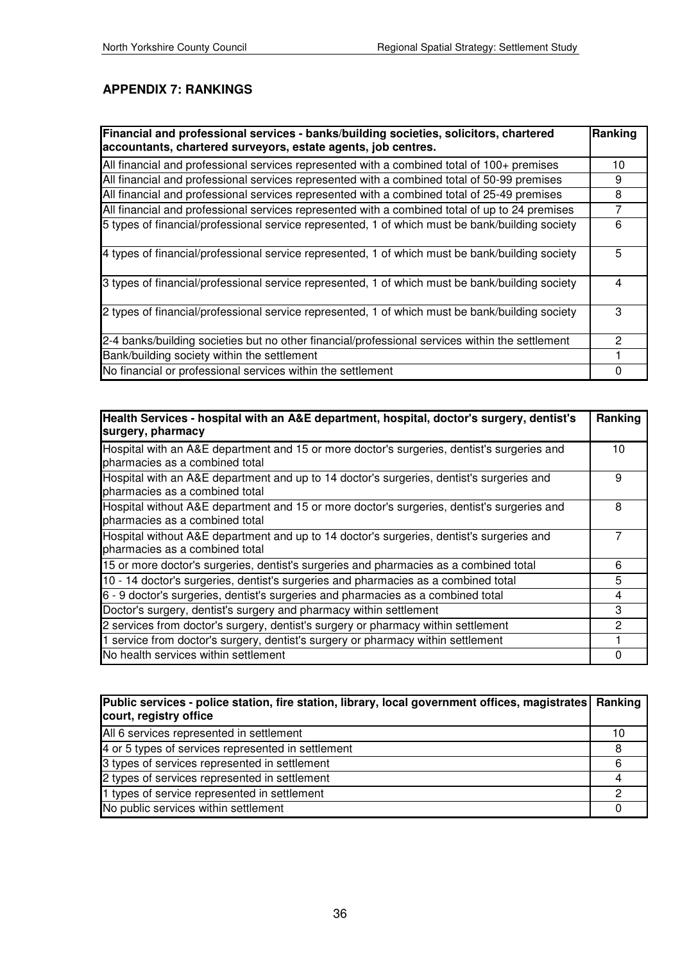## **APPENDIX 7: RANKINGS**

| Financial and professional services - banks/building societies, solicitors, chartered<br>accountants, chartered surveyors, estate agents, job centres. | Ranking  |
|--------------------------------------------------------------------------------------------------------------------------------------------------------|----------|
| All financial and professional services represented with a combined total of 100+ premises                                                             | 10       |
| All financial and professional services represented with a combined total of 50-99 premises                                                            | 9        |
| All financial and professional services represented with a combined total of 25-49 premises                                                            | 8        |
| All financial and professional services represented with a combined total of up to 24 premises                                                         | 7        |
| 5 types of financial/professional service represented, 1 of which must be bank/building society                                                        | 6        |
| 4 types of financial/professional service represented, 1 of which must be bank/building society                                                        | 5        |
| 3 types of financial/professional service represented, 1 of which must be bank/building society                                                        | 4        |
| 2 types of financial/professional service represented, 1 of which must be bank/building society                                                        | 3        |
| 2-4 banks/building societies but no other financial/professional services within the settlement                                                        | 2        |
| Bank/building society within the settlement                                                                                                            |          |
| No financial or professional services within the settlement                                                                                            | $\Omega$ |

| Health Services - hospital with an A&E department, hospital, doctor's surgery, dentist's<br>surgery, pharmacy                |    |  |
|------------------------------------------------------------------------------------------------------------------------------|----|--|
| Hospital with an A&E department and 15 or more doctor's surgeries, dentist's surgeries and<br>pharmacies as a combined total | 10 |  |
| Hospital with an A&E department and up to 14 doctor's surgeries, dentist's surgeries and<br>pharmacies as a combined total   | 9  |  |
| Hospital without A&E department and 15 or more doctor's surgeries, dentist's surgeries and<br>pharmacies as a combined total | 8  |  |
| Hospital without A&E department and up to 14 doctor's surgeries, dentist's surgeries and<br>pharmacies as a combined total   | 7  |  |
| 15 or more doctor's surgeries, dentist's surgeries and pharmacies as a combined total                                        |    |  |
| 10 - 14 doctor's surgeries, dentist's surgeries and pharmacies as a combined total                                           |    |  |
| 6 - 9 doctor's surgeries, dentist's surgeries and pharmacies as a combined total                                             |    |  |
| Doctor's surgery, dentist's surgery and pharmacy within settlement                                                           |    |  |
| 2 services from doctor's surgery, dentist's surgery or pharmacy within settlement                                            | 2  |  |
| 1 service from doctor's surgery, dentist's surgery or pharmacy within settlement                                             |    |  |
| No health services within settlement                                                                                         | 0  |  |

| Public services - police station, fire station, library, local government offices, magistrates   Ranking<br>court, registry office |    |
|------------------------------------------------------------------------------------------------------------------------------------|----|
| All 6 services represented in settlement                                                                                           | 10 |
| 4 or 5 types of services represented in settlement                                                                                 | 8  |
| 3 types of services represented in settlement                                                                                      | 6  |
| 2 types of services represented in settlement                                                                                      |    |
| 1 types of service represented in settlement                                                                                       | 0  |
| No public services within settlement                                                                                               |    |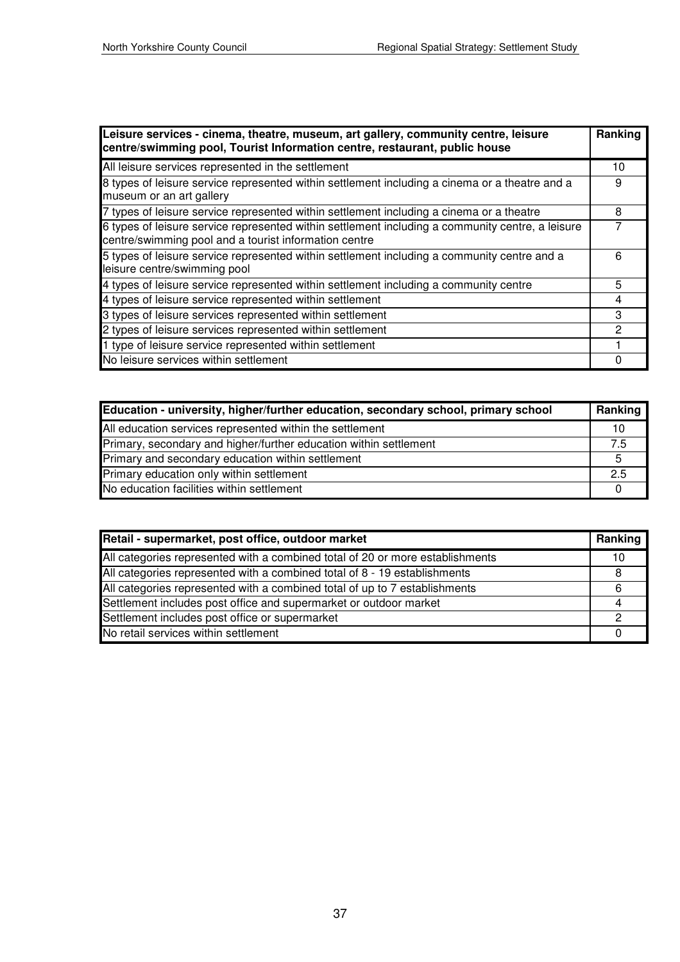| Leisure services - cinema, theatre, museum, art gallery, community centre, leisure<br>centre/swimming pool, Tourist Information centre, restaurant, public house |   |
|------------------------------------------------------------------------------------------------------------------------------------------------------------------|---|
| All leisure services represented in the settlement                                                                                                               |   |
| 8 types of leisure service represented within settlement including a cinema or a theatre and a<br>museum or an art gallery                                       |   |
| 7 types of leisure service represented within settlement including a cinema or a theatre                                                                         |   |
| 6 types of leisure service represented within settlement including a community centre, a leisure<br>centre/swimming pool and a tourist information centre        | 7 |
| 5 types of leisure service represented within settlement including a community centre and a<br>leisure centre/swimming pool                                      |   |
| 4 types of leisure service represented within settlement including a community centre                                                                            |   |
| 4 types of leisure service represented within settlement                                                                                                         |   |
| 3 types of leisure services represented within settlement                                                                                                        |   |
| 2 types of leisure services represented within settlement                                                                                                        |   |
| 1 type of leisure service represented within settlement                                                                                                          |   |
| No leisure services within settlement                                                                                                                            |   |

| Education - university, higher/further education, secondary school, primary school |    |  |
|------------------------------------------------------------------------------------|----|--|
| All education services represented within the settlement                           | 10 |  |
| Primary, secondary and higher/further education within settlement                  |    |  |
| Primary and secondary education within settlement                                  |    |  |
| Primary education only within settlement                                           |    |  |
| No education facilities within settlement                                          |    |  |

| Retail - supermarket, post office, outdoor market                             |    |
|-------------------------------------------------------------------------------|----|
| All categories represented with a combined total of 20 or more establishments | 10 |
| All categories represented with a combined total of 8 - 19 establishments     | 8  |
| All categories represented with a combined total of up to 7 establishments    | 6  |
| Settlement includes post office and supermarket or outdoor market             |    |
| Settlement includes post office or supermarket                                | 2  |
| No retail services within settlement                                          |    |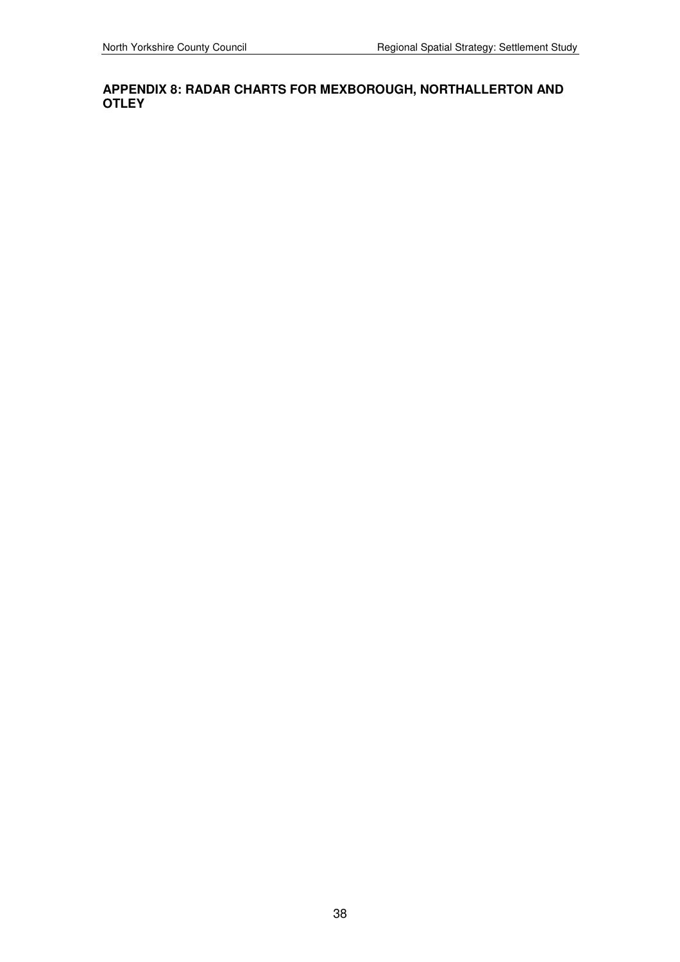### **APPENDIX 8: RADAR CHARTS FOR MEXBOROUGH, NORTHALLERTON AND OTLEY**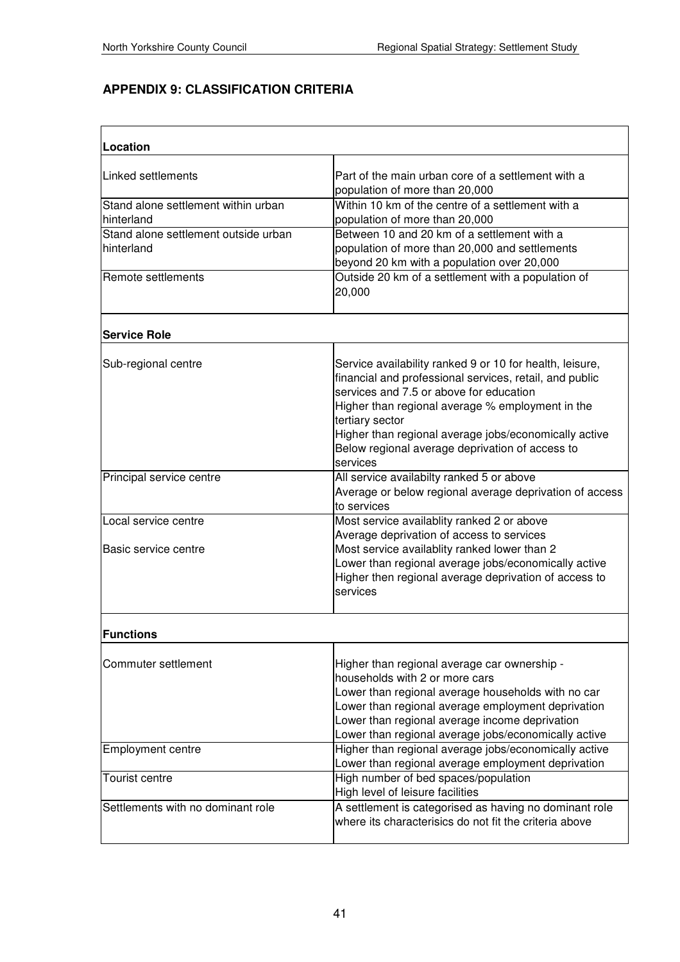# **APPENDIX 9: CLASSIFICATION CRITERIA**

| Location                                           |                                                                                                                                                                                                                                                                                                                                                               |
|----------------------------------------------------|---------------------------------------------------------------------------------------------------------------------------------------------------------------------------------------------------------------------------------------------------------------------------------------------------------------------------------------------------------------|
| Linked settlements                                 | Part of the main urban core of a settlement with a<br>population of more than 20,000                                                                                                                                                                                                                                                                          |
| Stand alone settlement within urban<br>hinterland  | Within 10 km of the centre of a settlement with a<br>population of more than 20,000                                                                                                                                                                                                                                                                           |
| Stand alone settlement outside urban<br>hinterland | Between 10 and 20 km of a settlement with a<br>population of more than 20,000 and settlements<br>beyond 20 km with a population over 20,000                                                                                                                                                                                                                   |
| Remote settlements                                 | Outside 20 km of a settlement with a population of<br>20,000                                                                                                                                                                                                                                                                                                  |
| <b>Service Role</b>                                |                                                                                                                                                                                                                                                                                                                                                               |
| Sub-regional centre                                | Service availability ranked 9 or 10 for health, leisure,<br>financial and professional services, retail, and public<br>services and 7.5 or above for education<br>Higher than regional average % employment in the<br>tertiary sector<br>Higher than regional average jobs/economically active<br>Below regional average deprivation of access to<br>services |
| Principal service centre                           | All service availabilty ranked 5 or above<br>Average or below regional average deprivation of access<br>to services                                                                                                                                                                                                                                           |
| Local service centre<br>Basic service centre       | Most service availablity ranked 2 or above<br>Average deprivation of access to services<br>Most service availablity ranked lower than 2<br>Lower than regional average jobs/economically active<br>Higher then regional average deprivation of access to<br>services                                                                                          |
| <b>Functions</b>                                   |                                                                                                                                                                                                                                                                                                                                                               |
| Commuter settlement                                | Higher than regional average car ownership -<br>households with 2 or more cars<br>Lower than regional average households with no car<br>Lower than regional average employment deprivation<br>Lower than regional average income deprivation<br>Lower than regional average jobs/economically active                                                          |
| <b>Employment centre</b>                           | Higher than regional average jobs/economically active<br>Lower than regional average employment deprivation                                                                                                                                                                                                                                                   |
| <b>Tourist centre</b>                              | High number of bed spaces/population<br>High level of leisure facilities                                                                                                                                                                                                                                                                                      |
| Settlements with no dominant role                  | A settlement is categorised as having no dominant role<br>where its characterisics do not fit the criteria above                                                                                                                                                                                                                                              |